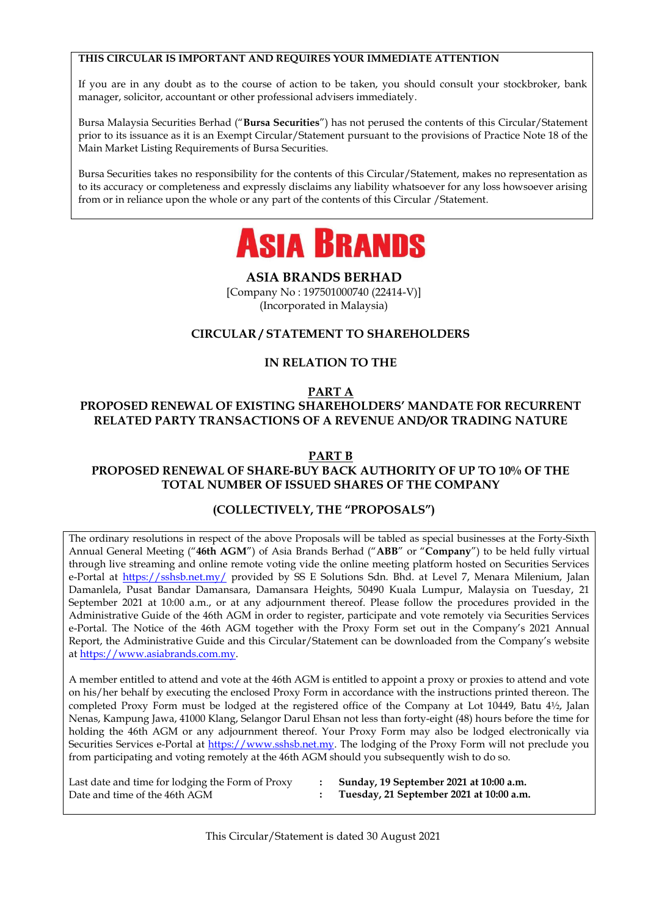#### **THIS CIRCULAR IS IMPORTANT AND REQUIRES YOUR IMMEDIATE ATTENTION**

If you are in any doubt as to the course of action to be taken, you should consult your stockbroker, bank manager, solicitor, accountant or other professional advisers immediately.

Bursa Malaysia Securities Berhad ("**Bursa Securities**") has not perused the contents of this Circular/Statement prior to its issuance as it is an Exempt Circular/Statement pursuant to the provisions of Practice Note 18 of the Main Market Listing Requirements of Bursa Securities.

Bursa Securities takes no responsibility for the contents of this Circular/Statement, makes no representation as to its accuracy or completeness and expressly disclaims any liability whatsoever for any loss howsoever arising from or in reliance upon the whole or any part of the contents of this Circular /Statement.



**ASIA BRANDS BERHAD**

[Company No : 197501000740 (22414-V)] (Incorporated in Malaysia)

### **CIRCULAR / STATEMENT TO SHAREHOLDERS**

### **IN RELATION TO THE**

#### **PART A PROPOSED RENEWAL OF EXISTING SHAREHOLDERS' MANDATE FOR RECURRENT RELATED PARTY TRANSACTIONS OF A REVENUE AND/OR TRADING NATURE**

#### **PART B**

### **PROPOSED RENEWAL OF SHARE-BUY BACK AUTHORITY OF UP TO 10% OF THE TOTAL NUMBER OF ISSUED SHARES OF THE COMPANY**

#### **(COLLECTIVELY, THE "PROPOSALS")**

The ordinary resolutions in respect of the above Proposals will be tabled as special businesses at the Forty-Sixth Annual General Meeting ("**46th AGM**") of Asia Brands Berhad ("**ABB**" or "**Company**") to be held fully virtual through live streaming and online remote voting vide the online meeting platform hosted on Securities Services e-Portal at<https://sshsb.net.my/> provided by SS E Solutions Sdn. Bhd. at Level 7, Menara Milenium, Jalan Damanlela, Pusat Bandar Damansara, Damansara Heights, 50490 Kuala Lumpur, Malaysia on Tuesday, 21 September 2021 at 10:00 a.m., or at any adjournment thereof. Please follow the procedures provided in the Administrative Guide of the 46th AGM in order to register, participate and vote remotely via Securities Services e-Portal. The Notice of the 46th AGM together with the Proxy Form set out in the Company's 2021 Annual Report, the Administrative Guide and this Circular/Statement can be downloaded from the Company's website a[t https://www.asiabrands.com.my.](https://www.asiabrands.com.my/)

A member entitled to attend and vote at the 46th AGM is entitled to appoint a proxy or proxies to attend and vote on his/her behalf by executing the enclosed Proxy Form in accordance with the instructions printed thereon. The completed Proxy Form must be lodged at the registered office of the Company at Lot 10449, Batu 4½, Jalan Nenas, Kampung Jawa, 41000 Klang, Selangor Darul Ehsan not less than forty-eight (48) hours before the time for holding the 46th AGM or any adjournment thereof. Your Proxy Form may also be lodged electronically via Securities Services e-Portal at [https://www.sshsb.net.my.](https://www.sshsb.net.my/) The lodging of the Proxy Form will not preclude you from participating and voting remotely at the 46th AGM should you subsequently wish to do so.

Last date and time for lodging the Form of Proxy Date and time of the 46th AGM

**: Sunday, 19 September 2021 at 10:00 a.m.**

**: Tuesday, 21 September 2021 at 10:00 a.m.**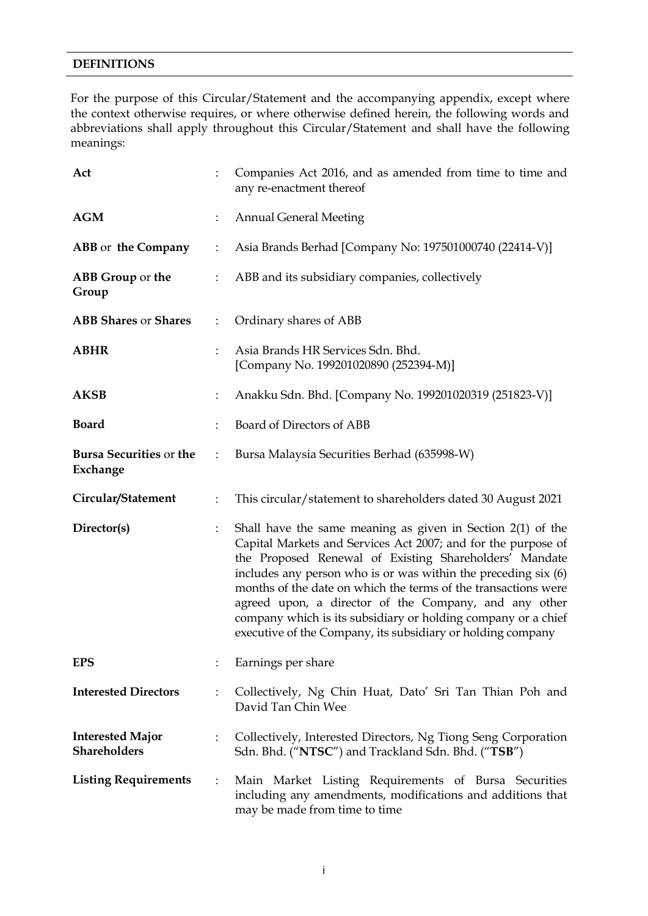#### **DEFINITIONS**

For the purpose of this Circular/Statement and the accompanying appendix, except where the context otherwise requires, or where otherwise defined herein, the following words and abbreviations shall apply throughout this Circular/Statement and shall have the following meanings:

| Act                                            |                | Companies Act 2016, and as amended from time to time and<br>any re-enactment thereof                                                                                                                                                                                                                                                                                                                                                                                                                                   |  |  |  |  |
|------------------------------------------------|----------------|------------------------------------------------------------------------------------------------------------------------------------------------------------------------------------------------------------------------------------------------------------------------------------------------------------------------------------------------------------------------------------------------------------------------------------------------------------------------------------------------------------------------|--|--|--|--|
| <b>AGM</b>                                     |                | <b>Annual General Meeting</b>                                                                                                                                                                                                                                                                                                                                                                                                                                                                                          |  |  |  |  |
| ABB or the Company                             |                | Asia Brands Berhad [Company No: 197501000740 (22414-V)]                                                                                                                                                                                                                                                                                                                                                                                                                                                                |  |  |  |  |
| ABB Group or the<br>Group                      |                | ABB and its subsidiary companies, collectively                                                                                                                                                                                                                                                                                                                                                                                                                                                                         |  |  |  |  |
| <b>ABB Shares or Shares</b>                    | $\ddot{\cdot}$ | Ordinary shares of ABB                                                                                                                                                                                                                                                                                                                                                                                                                                                                                                 |  |  |  |  |
| <b>ABHR</b>                                    |                | Asia Brands HR Services Sdn. Bhd.<br>[Company No. 199201020890 (252394-M)]                                                                                                                                                                                                                                                                                                                                                                                                                                             |  |  |  |  |
| <b>AKSB</b>                                    |                | Anakku Sdn. Bhd. [Company No. 199201020319 (251823-V)]                                                                                                                                                                                                                                                                                                                                                                                                                                                                 |  |  |  |  |
| <b>Board</b>                                   |                | Board of Directors of ABB                                                                                                                                                                                                                                                                                                                                                                                                                                                                                              |  |  |  |  |
| <b>Bursa Securities or the</b><br>Exchange     |                | Bursa Malaysia Securities Berhad (635998-W)                                                                                                                                                                                                                                                                                                                                                                                                                                                                            |  |  |  |  |
| Circular/Statement                             |                | This circular/statement to shareholders dated 30 August 2021                                                                                                                                                                                                                                                                                                                                                                                                                                                           |  |  |  |  |
| Director(s)                                    |                | Shall have the same meaning as given in Section $2(1)$ of the<br>Capital Markets and Services Act 2007; and for the purpose of<br>the Proposed Renewal of Existing Shareholders' Mandate<br>includes any person who is or was within the preceding $six(6)$<br>months of the date on which the terms of the transactions were<br>agreed upon, a director of the Company, and any other<br>company which is its subsidiary or holding company or a chief<br>executive of the Company, its subsidiary or holding company |  |  |  |  |
| <b>EPS</b>                                     |                | Earnings per share                                                                                                                                                                                                                                                                                                                                                                                                                                                                                                     |  |  |  |  |
| <b>Interested Directors</b>                    |                | Collectively, Ng Chin Huat, Dato' Sri Tan Thian Poh and<br>David Tan Chin Wee                                                                                                                                                                                                                                                                                                                                                                                                                                          |  |  |  |  |
| <b>Interested Major</b><br><b>Shareholders</b> |                | Collectively, Interested Directors, Ng Tiong Seng Corporation<br>Sdn. Bhd. ("NTSC") and Trackland Sdn. Bhd. ("TSB")                                                                                                                                                                                                                                                                                                                                                                                                    |  |  |  |  |
| <b>Listing Requirements</b>                    | $\ddot{\cdot}$ | Main Market Listing Requirements of Bursa Securities<br>including any amendments, modifications and additions that<br>may be made from time to time                                                                                                                                                                                                                                                                                                                                                                    |  |  |  |  |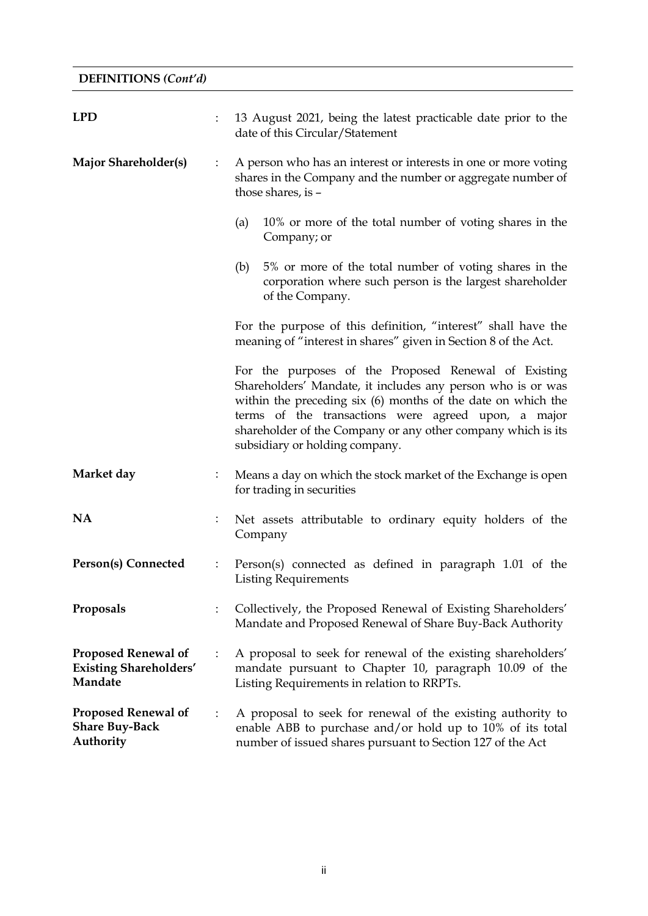| <b>LPD</b>                                                             |                | 13 August 2021, being the latest practicable date prior to the<br>date of this Circular/Statement                                                                                                                                                                                                                                            |  |  |  |
|------------------------------------------------------------------------|----------------|----------------------------------------------------------------------------------------------------------------------------------------------------------------------------------------------------------------------------------------------------------------------------------------------------------------------------------------------|--|--|--|
| <b>Major Shareholder(s)</b>                                            | $\ddot{\cdot}$ | A person who has an interest or interests in one or more voting<br>shares in the Company and the number or aggregate number of<br>those shares, is -                                                                                                                                                                                         |  |  |  |
|                                                                        |                | 10% or more of the total number of voting shares in the<br>(a)<br>Company; or                                                                                                                                                                                                                                                                |  |  |  |
|                                                                        |                | (b)<br>5% or more of the total number of voting shares in the<br>corporation where such person is the largest shareholder<br>of the Company.                                                                                                                                                                                                 |  |  |  |
|                                                                        |                | For the purpose of this definition, "interest" shall have the<br>meaning of "interest in shares" given in Section 8 of the Act.                                                                                                                                                                                                              |  |  |  |
|                                                                        |                | For the purposes of the Proposed Renewal of Existing<br>Shareholders' Mandate, it includes any person who is or was<br>within the preceding six (6) months of the date on which the<br>terms of the transactions were agreed upon, a major<br>shareholder of the Company or any other company which is its<br>subsidiary or holding company. |  |  |  |
| Market day                                                             |                | Means a day on which the stock market of the Exchange is open<br>for trading in securities                                                                                                                                                                                                                                                   |  |  |  |
| <b>NA</b>                                                              |                | Net assets attributable to ordinary equity holders of the<br>Company                                                                                                                                                                                                                                                                         |  |  |  |
| Person(s) Connected                                                    | $\ddot{\cdot}$ | Person(s) connected as defined in paragraph 1.01 of the<br><b>Listing Requirements</b>                                                                                                                                                                                                                                                       |  |  |  |
| Proposals                                                              |                | Collectively, the Proposed Renewal of Existing Shareholders'<br>Mandate and Proposed Renewal of Share Buy-Back Authority                                                                                                                                                                                                                     |  |  |  |
| <b>Proposed Renewal of</b><br><b>Existing Shareholders'</b><br>Mandate |                | A proposal to seek for renewal of the existing shareholders'<br>mandate pursuant to Chapter 10, paragraph 10.09 of the<br>Listing Requirements in relation to RRPTs.                                                                                                                                                                         |  |  |  |
| <b>Proposed Renewal of</b><br><b>Share Buy-Back</b><br>Authority       |                | A proposal to seek for renewal of the existing authority to<br>enable ABB to purchase and/or hold up to 10% of its total<br>number of issued shares pursuant to Section 127 of the Act                                                                                                                                                       |  |  |  |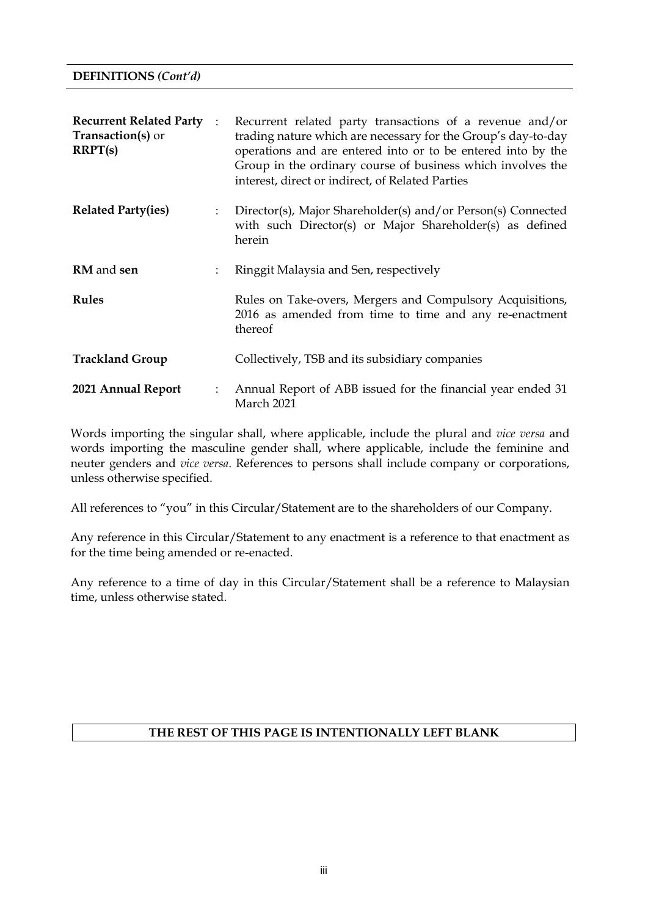| <b>Recurrent Related Party</b> :<br>Transaction(s) or<br>RRPT(s) |                      | Recurrent related party transactions of a revenue and/or<br>trading nature which are necessary for the Group's day-to-day<br>operations and are entered into or to be entered into by the<br>Group in the ordinary course of business which involves the<br>interest, direct or indirect, of Related Parties |  |  |  |  |
|------------------------------------------------------------------|----------------------|--------------------------------------------------------------------------------------------------------------------------------------------------------------------------------------------------------------------------------------------------------------------------------------------------------------|--|--|--|--|
| <b>Related Party(ies)</b>                                        | $\ddot{\phantom{a}}$ | Director(s), Major Shareholder(s) and/or Person(s) Connected<br>with such Director(s) or Major Shareholder(s) as defined<br>herein                                                                                                                                                                           |  |  |  |  |
| <b>RM</b> and sen                                                | $\ddot{\cdot}$       | Ringgit Malaysia and Sen, respectively                                                                                                                                                                                                                                                                       |  |  |  |  |
| <b>Rules</b>                                                     |                      | Rules on Take-overs, Mergers and Compulsory Acquisitions,<br>2016 as amended from time to time and any re-enactment<br>thereof                                                                                                                                                                               |  |  |  |  |
| <b>Trackland Group</b>                                           |                      | Collectively, TSB and its subsidiary companies                                                                                                                                                                                                                                                               |  |  |  |  |
| 2021 Annual Report                                               | $\ddot{\phantom{a}}$ | Annual Report of ABB issued for the financial year ended 31<br>March 2021                                                                                                                                                                                                                                    |  |  |  |  |

Words importing the singular shall, where applicable, include the plural and *vice versa* and words importing the masculine gender shall, where applicable, include the feminine and neuter genders and *vice versa*. References to persons shall include company or corporations, unless otherwise specified.

All references to "you" in this Circular/Statement are to the shareholders of our Company.

Any reference in this Circular/Statement to any enactment is a reference to that enactment as for the time being amended or re-enacted.

Any reference to a time of day in this Circular/Statement shall be a reference to Malaysian time, unless otherwise stated.

### **THE REST OF THIS PAGE IS INTENTIONALLY LEFT BLANK**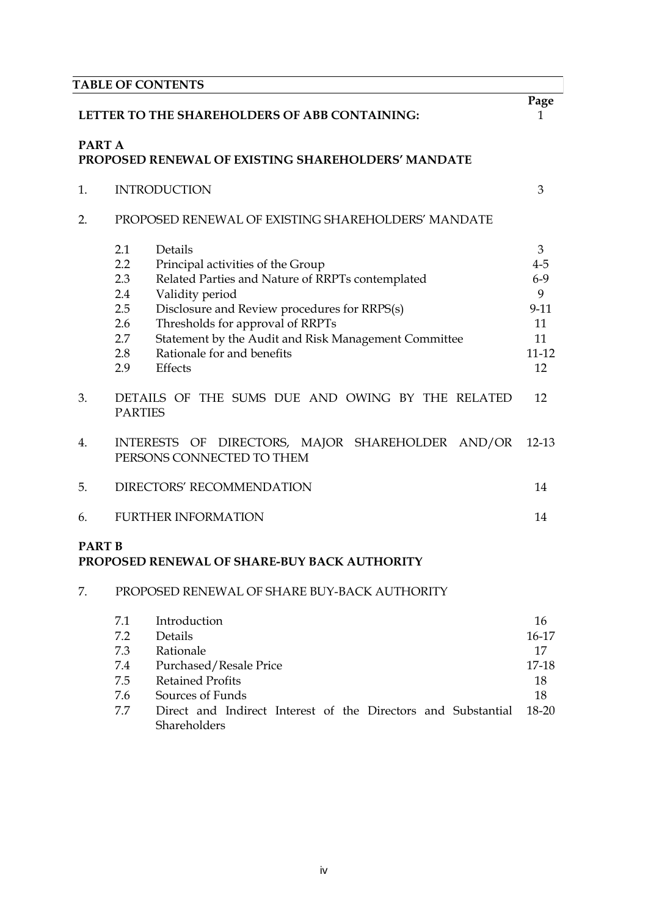|                                                         | <b>TABLE OF CONTENTS</b>                                                                                                                                                                                                                                                                                                                                                |                                                                         |  |  |  |  |  |
|---------------------------------------------------------|-------------------------------------------------------------------------------------------------------------------------------------------------------------------------------------------------------------------------------------------------------------------------------------------------------------------------------------------------------------------------|-------------------------------------------------------------------------|--|--|--|--|--|
| LETTER TO THE SHAREHOLDERS OF ABB CONTAINING:<br>PART A |                                                                                                                                                                                                                                                                                                                                                                         |                                                                         |  |  |  |  |  |
|                                                         | PROPOSED RENEWAL OF EXISTING SHAREHOLDERS' MANDATE                                                                                                                                                                                                                                                                                                                      |                                                                         |  |  |  |  |  |
| 1.                                                      | <b>INTRODUCTION</b>                                                                                                                                                                                                                                                                                                                                                     | 3                                                                       |  |  |  |  |  |
| 2.                                                      | PROPOSED RENEWAL OF EXISTING SHAREHOLDERS' MANDATE                                                                                                                                                                                                                                                                                                                      |                                                                         |  |  |  |  |  |
|                                                         | 2.1<br>Details<br>2.2<br>Principal activities of the Group<br>Related Parties and Nature of RRPTs contemplated<br>2.3<br>2.4<br>Validity period<br>2.5<br>Disclosure and Review procedures for RRPS(s)<br>Thresholds for approval of RRPTs<br>2.6<br>2.7<br>Statement by the Audit and Risk Management Committee<br>Rationale for and benefits<br>2.8<br>2.9<br>Effects | 3<br>$4 - 5$<br>$6 - 9$<br>9<br>$9 - 11$<br>11<br>11<br>$11 - 12$<br>12 |  |  |  |  |  |
| 3.                                                      | DETAILS OF THE SUMS DUE AND OWING BY THE RELATED<br><b>PARTIES</b>                                                                                                                                                                                                                                                                                                      | 12                                                                      |  |  |  |  |  |
| 4.                                                      | INTERESTS OF DIRECTORS, MAJOR SHAREHOLDER AND/OR<br>PERSONS CONNECTED TO THEM                                                                                                                                                                                                                                                                                           | $12 - 13$                                                               |  |  |  |  |  |
| 5.                                                      | DIRECTORS' RECOMMENDATION                                                                                                                                                                                                                                                                                                                                               | 14                                                                      |  |  |  |  |  |
| 6.                                                      | <b>FURTHER INFORMATION</b>                                                                                                                                                                                                                                                                                                                                              | 14                                                                      |  |  |  |  |  |

### **PART B PROPOSED RENEWAL OF SHARE-BUY BACK AUTHORITY**

## 7. PROPOSED RENEWAL OF SHARE BUY-BACK AUTHORITY

| 7.1 | Introduction                                                  | 16      |
|-----|---------------------------------------------------------------|---------|
| 7.2 | Details                                                       | $16-17$ |
| 7.3 | Rationale                                                     | 17      |
| 7.4 | Purchased/Resale Price                                        | 17-18   |
| 7.5 | <b>Retained Profits</b>                                       | 18      |
| 7.6 | Sources of Funds                                              | 18      |
| 7.7 | Direct and Indirect Interest of the Directors and Substantial | 18-20   |
|     | Shareholders                                                  |         |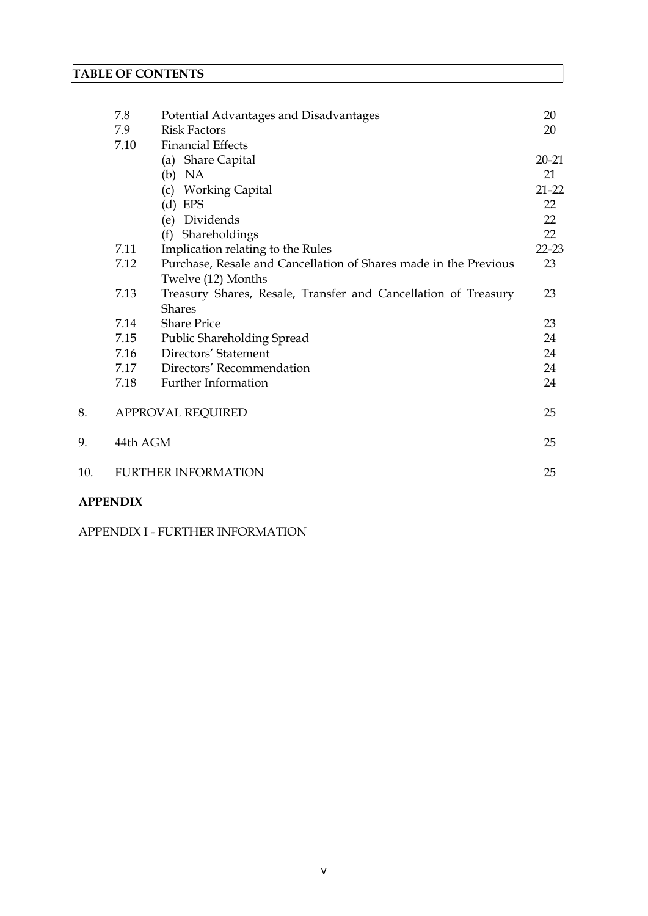|     | 7.8      | Potential Advantages and Disadvantages                           | 20        |
|-----|----------|------------------------------------------------------------------|-----------|
|     | 7.9      | <b>Risk Factors</b>                                              | 20        |
|     | 7.10     | <b>Financial Effects</b>                                         |           |
|     |          | (a) Share Capital                                                | $20 - 21$ |
|     |          | (b)<br>NA                                                        | 21        |
|     |          | <b>Working Capital</b><br>(c)                                    | $21 - 22$ |
|     |          | (d)<br><b>EPS</b>                                                | 22        |
|     |          | Dividends<br>(e)                                                 | 22        |
|     |          | (f) Shareholdings                                                | 22        |
|     | 7.11     | Implication relating to the Rules                                | $22 - 23$ |
|     | 7.12     | Purchase, Resale and Cancellation of Shares made in the Previous | 23        |
|     |          | Twelve (12) Months                                               |           |
|     | 7.13     | Treasury Shares, Resale, Transfer and Cancellation of Treasury   | 23        |
|     |          | <b>Shares</b>                                                    |           |
|     | 7.14     | <b>Share Price</b>                                               | 23        |
|     | 7.15     | <b>Public Shareholding Spread</b>                                | 24        |
|     | 7.16     | Directors' Statement                                             | 24        |
|     | 7.17     | Directors' Recommendation                                        | 24        |
|     | 7.18     | Further Information                                              | 24        |
| 8.  |          | <b>APPROVAL REQUIRED</b>                                         | 25        |
| 9.  | 44th AGM |                                                                  | 25        |
| 10. |          | <b>FURTHER INFORMATION</b>                                       | 25        |
|     |          |                                                                  |           |

# **APPENDIX**

APPENDIX I - FURTHER INFORMATION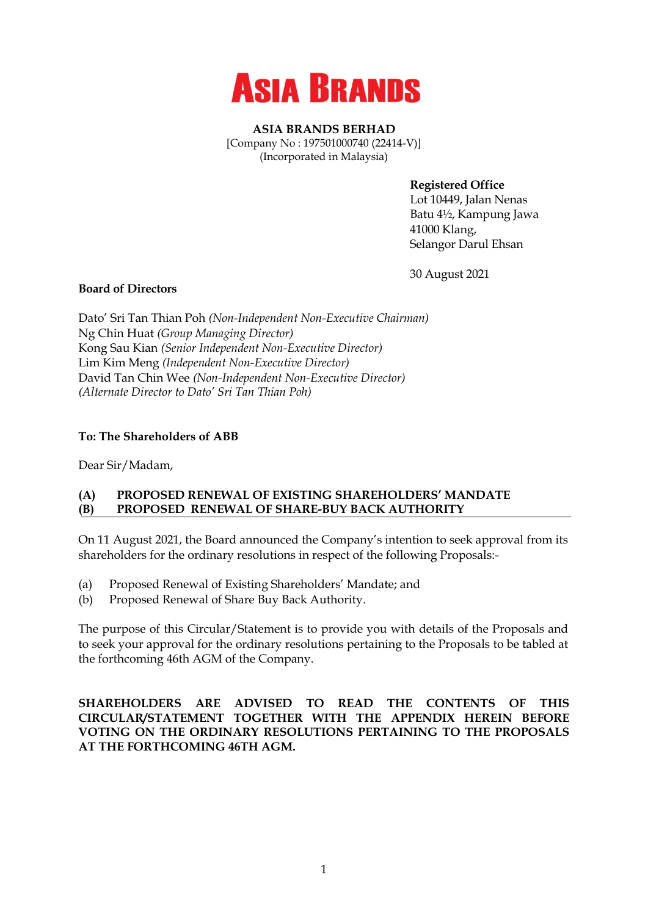

**ASIA BRANDS BERHAD** [Company No : 197501000740 (22414-V)] (Incorporated in Malaysia)

**Registered Office**

Lot 10449, Jalan Nenas Batu 4½, Kampung Jawa 41000 Klang, Selangor Darul Ehsan

30 August 2021

### **Board of Directors**

Dato' Sri Tan Thian Poh *(Non-Independent Non-Executive Chairman)* Ng Chin Huat *(Group Managing Director)* Kong Sau Kian *(Senior Independent Non-Executive Director)* Lim Kim Meng *(Independent Non-Executive Director)* David Tan Chin Wee *(Non-Independent Non-Executive Director) (Alternate Director to Dato' Sri Tan Thian Poh)*

### **To: The Shareholders of ABB**

Dear Sir/Madam,

### **(A) PROPOSED RENEWAL OF EXISTING SHAREHOLDERS' MANDATE (B) PROPOSED RENEWAL OF SHARE-BUY BACK AUTHORITY**

On 11 August 2021, the Board announced the Company's intention to seek approval from its shareholders for the ordinary resolutions in respect of the following Proposals:-

- (a) Proposed Renewal of Existing Shareholders' Mandate; and
- (b) Proposed Renewal of Share Buy Back Authority.

The purpose of this Circular/Statement is to provide you with details of the Proposals and to seek your approval for the ordinary resolutions pertaining to the Proposals to be tabled at the forthcoming 46th AGM of the Company.

**SHAREHOLDERS ARE ADVISED TO READ THE CONTENTS OF THIS CIRCULAR/STATEMENT TOGETHER WITH THE APPENDIX HEREIN BEFORE VOTING ON THE ORDINARY RESOLUTIONS PERTAINING TO THE PROPOSALS AT THE FORTHCOMING 46TH AGM.**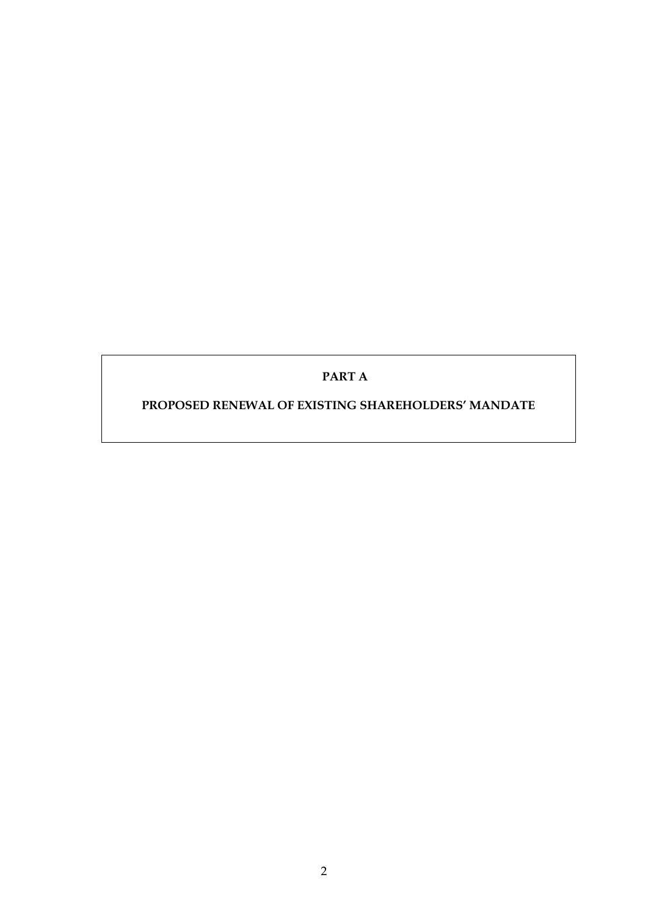# **PART A**

### **PROPOSED RENEWAL OF EXISTING SHAREHOLDERS' MANDATE**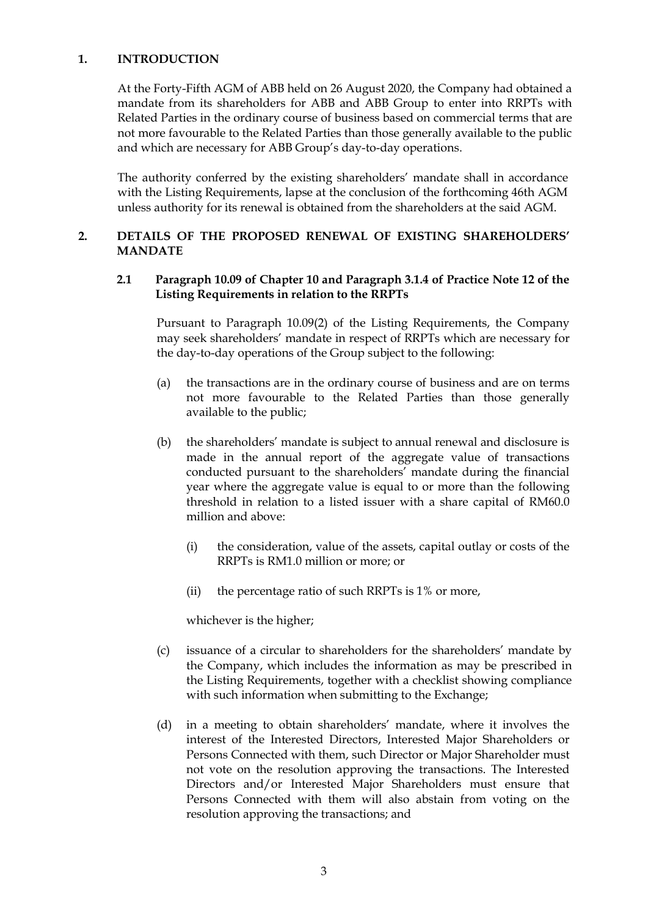#### **1. INTRODUCTION**

At the Forty-Fifth AGM of ABB held on 26 August 2020, the Company had obtained a mandate from its shareholders for ABB and ABB Group to enter into RRPTs with Related Parties in the ordinary course of business based on commercial terms that are not more favourable to the Related Parties than those generally available to the public and which are necessary for ABB Group's day-to-day operations.

The authority conferred by the existing shareholders' mandate shall in accordance with the Listing Requirements, lapse at the conclusion of the forthcoming 46th AGM unless authority for its renewal is obtained from the shareholders at the said AGM.

#### **2. DETAILS OF THE PROPOSED RENEWAL OF EXISTING SHAREHOLDERS' MANDATE**

#### **2.1 Paragraph 10.09 of Chapter 10 and Paragraph 3.1.4 of Practice Note 12 of the Listing Requirements in relation to the RRPTs**

Pursuant to Paragraph 10.09(2) of the Listing Requirements, the Company may seek shareholders' mandate in respect of RRPTs which are necessary for the day-to-day operations of the Group subject to the following:

- (a) the transactions are in the ordinary course of business and are on terms not more favourable to the Related Parties than those generally available to the public;
- (b) the shareholders' mandate is subject to annual renewal and disclosure is made in the annual report of the aggregate value of transactions conducted pursuant to the shareholders' mandate during the financial year where the aggregate value is equal to or more than the following threshold in relation to a listed issuer with a share capital of RM60.0 million and above:
	- (i) the consideration, value of the assets, capital outlay or costs of the RRPTs is RM1.0 million or more; or
	- (ii) the percentage ratio of such RRPTs is 1% or more,

whichever is the higher;

- (c) issuance of a circular to shareholders for the shareholders' mandate by the Company, which includes the information as may be prescribed in the Listing Requirements, together with a checklist showing compliance with such information when submitting to the Exchange;
- (d) in a meeting to obtain shareholders' mandate, where it involves the interest of the Interested Directors, Interested Major Shareholders or Persons Connected with them, such Director or Major Shareholder must not vote on the resolution approving the transactions. The Interested Directors and/or Interested Major Shareholders must ensure that Persons Connected with them will also abstain from voting on the resolution approving the transactions; and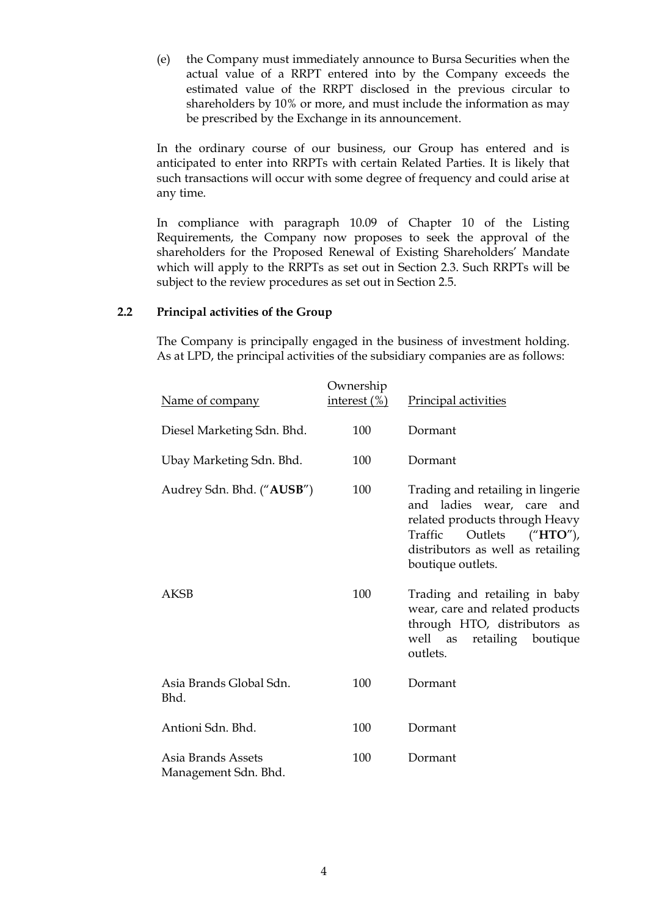(e) the Company must immediately announce to Bursa Securities when the actual value of a RRPT entered into by the Company exceeds the estimated value of the RRPT disclosed in the previous circular to shareholders by 10% or more, and must include the information as may be prescribed by the Exchange in its announcement.

In the ordinary course of our business, our Group has entered and is anticipated to enter into RRPTs with certain Related Parties. It is likely that such transactions will occur with some degree of frequency and could arise at any time.

In compliance with paragraph 10.09 of Chapter 10 of the Listing Requirements, the Company now proposes to seek the approval of the shareholders for the Proposed Renewal of Existing Shareholders' Mandate which will apply to the RRPTs as set out in Section 2.3. Such RRPTs will be subject to the review procedures as set out in Section 2.5.

#### **2.2 Principal activities of the Group**

The Company is principally engaged in the business of investment holding. As at LPD, the principal activities of the subsidiary companies are as follows:

| Name of company                            | Ownership<br>interest $(\%)$ | Principal activities                                                                                                                                                                   |
|--------------------------------------------|------------------------------|----------------------------------------------------------------------------------------------------------------------------------------------------------------------------------------|
| Diesel Marketing Sdn. Bhd.                 | 100                          | Dormant                                                                                                                                                                                |
| Ubay Marketing Sdn. Bhd.                   | 100                          | Dormant                                                                                                                                                                                |
| Audrey Sdn. Bhd. ("AUSB")                  | 100                          | Trading and retailing in lingerie<br>and ladies wear, care and<br>related products through Heavy<br>Traffic Outlets ("HTO"),<br>distributors as well as retailing<br>boutique outlets. |
| <b>AKSB</b>                                | 100                          | Trading and retailing in baby<br>wear, care and related products<br>through HTO, distributors as<br>well as retailing<br>boutique<br>outlets.                                          |
| Asia Brands Global Sdn.<br>Bhd.            | 100                          | Dormant                                                                                                                                                                                |
| Antioni Sdn. Bhd.                          | 100                          | Dormant                                                                                                                                                                                |
| Asia Brands Assets<br>Management Sdn. Bhd. | 100                          | Dormant                                                                                                                                                                                |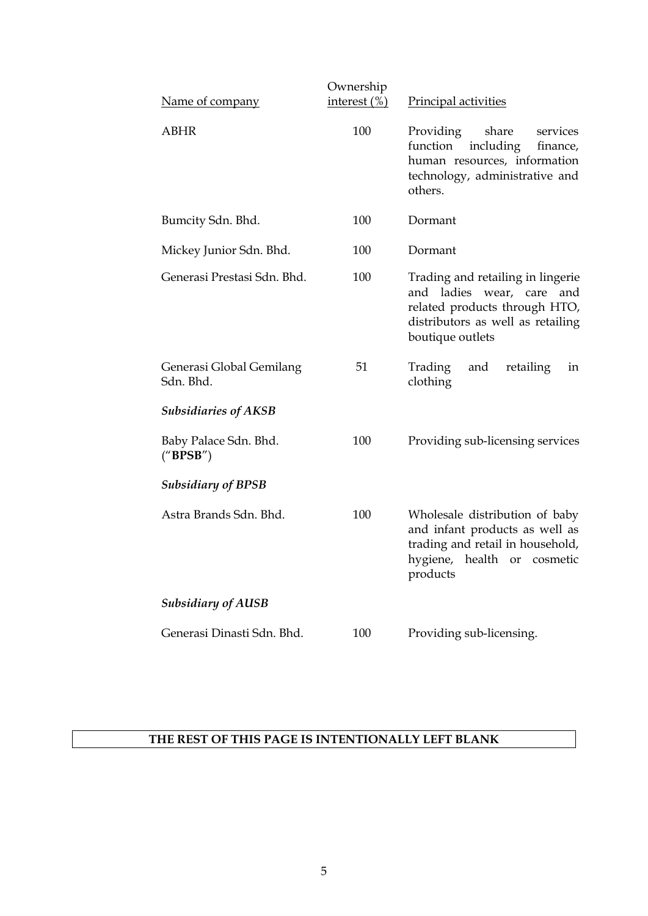|                                       | Ownership       |                                                                                                                                                             |  |  |
|---------------------------------------|-----------------|-------------------------------------------------------------------------------------------------------------------------------------------------------------|--|--|
| Name of company                       | interest $(\%)$ | Principal activities                                                                                                                                        |  |  |
| <b>ABHR</b>                           | 100             | Providing<br>share<br>services<br>including<br>function<br>finance,<br>human resources, information<br>technology, administrative and<br>others.            |  |  |
| Bumcity Sdn. Bhd.                     | 100             | Dormant                                                                                                                                                     |  |  |
| Mickey Junior Sdn. Bhd.               | 100             | Dormant                                                                                                                                                     |  |  |
| Generasi Prestasi Sdn. Bhd.           | 100             | Trading and retailing in lingerie<br>and ladies wear, care<br>and<br>related products through HTO,<br>distributors as well as retailing<br>boutique outlets |  |  |
| Generasi Global Gemilang<br>Sdn. Bhd. | 51              | Trading<br>and<br>retailing<br>in<br>clothing                                                                                                               |  |  |
| <b>Subsidiaries of AKSB</b>           |                 |                                                                                                                                                             |  |  |
| Baby Palace Sdn. Bhd.<br>("BPSB")     | 100             | Providing sub-licensing services                                                                                                                            |  |  |
| <b>Subsidiary of BPSB</b>             |                 |                                                                                                                                                             |  |  |
| Astra Brands Sdn. Bhd.                | 100             | Wholesale distribution of baby<br>and infant products as well as<br>trading and retail in household,<br>hygiene, health or<br>cosmetic<br>products          |  |  |
| <b>Subsidiary of AUSB</b>             |                 |                                                                                                                                                             |  |  |
| Generasi Dinasti Sdn. Bhd.            | 100             | Providing sub-licensing.                                                                                                                                    |  |  |

# **THE REST OF THIS PAGE IS INTENTIONALLY LEFT BLANK**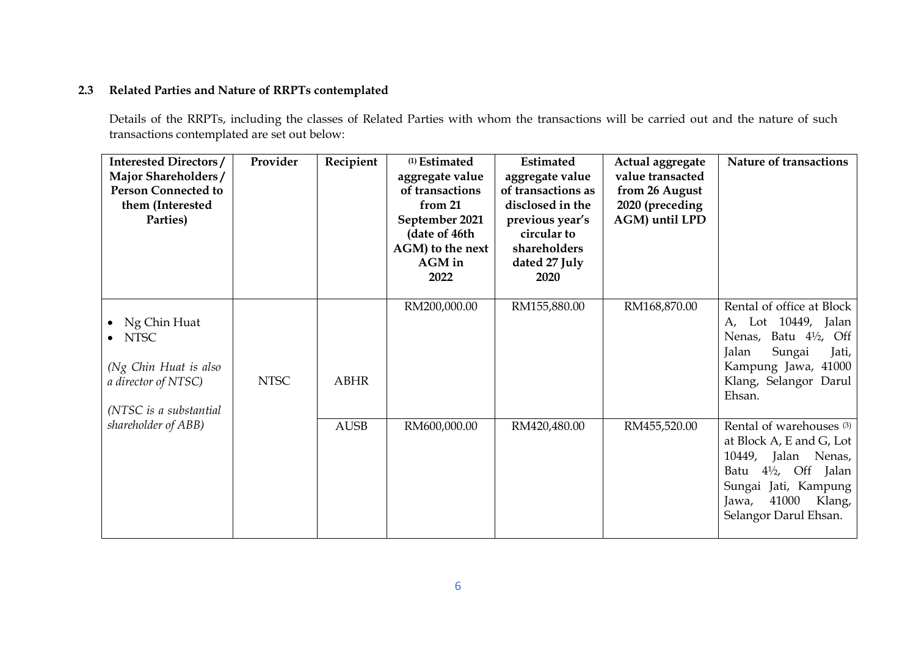### **2.3 Related Parties and Nature of RRPTs contemplated**

Details of the RRPTs, including the classes of Related Parties with whom the transactions will be carried out and the nature of such transactions contemplated are set out below:

| <b>Interested Directors/</b><br>Major Shareholders/<br><b>Person Connected to</b><br>them (Interested<br>Parties)  | Provider    | Recipient   | <sup>(1)</sup> Estimated<br>aggregate value<br>of transactions<br>from 21<br>September 2021<br>(date of 46th<br>AGM) to the next<br>AGM in<br>2022 | Estimated<br>aggregate value<br>of transactions as<br>disclosed in the<br>previous year's<br>circular to<br>shareholders<br>dated 27 July<br>2020 | Actual aggregate<br>value transacted<br>from 26 August<br>2020 (preceding<br>AGM) until LPD | <b>Nature of transactions</b>                                                                                                                                                                             |
|--------------------------------------------------------------------------------------------------------------------|-------------|-------------|----------------------------------------------------------------------------------------------------------------------------------------------------|---------------------------------------------------------------------------------------------------------------------------------------------------|---------------------------------------------------------------------------------------------|-----------------------------------------------------------------------------------------------------------------------------------------------------------------------------------------------------------|
| Ng Chin Huat<br><b>NTSC</b><br>$\bullet$<br>(Ng Chin Huat is also<br>a director of NTSC)<br>(NTSC is a substantial | <b>NTSC</b> | <b>ABHR</b> | RM200,000.00                                                                                                                                       | RM155,880.00                                                                                                                                      | RM168,870.00                                                                                | Rental of office at Block<br>A, Lot 10449, Jalan<br>Batu $4\frac{1}{2}$ ,<br>Off<br>Nenas,<br>Jalan<br>Sungai<br>Jati,<br>Kampung Jawa, 41000<br>Klang, Selangor Darul<br>Ehsan.                          |
| shareholder of ABB)                                                                                                |             | <b>AUSB</b> | RM600,000.00                                                                                                                                       | RM420,480.00                                                                                                                                      | RM455,520.00                                                                                | Rental of warehouses <sup>(3)</sup><br>at Block A, E and G, Lot<br>10449, Jalan Nenas,<br>$4\frac{1}{2}$ , Off Jalan<br>Batu<br>Sungai Jati, Kampung<br>41000<br>Klang,<br>Jawa,<br>Selangor Darul Ehsan. |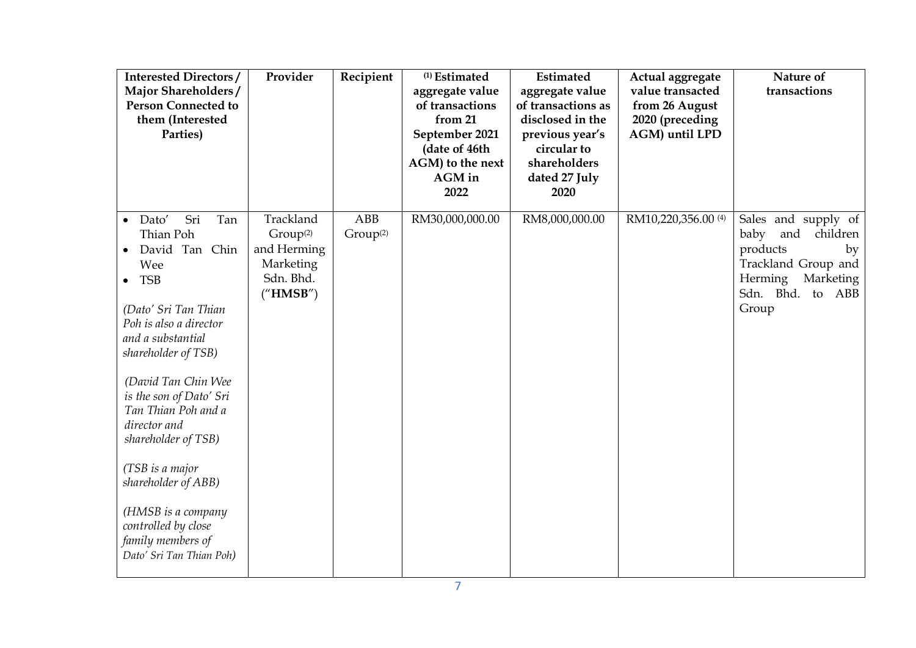| <b>Interested Directors/</b><br>Major Shareholders/<br><b>Person Connected to</b><br>them (Interested<br>Parties)                                                                                                                                                                                                                                                                                                                                       | Provider                                                                               | Recipient                   | <sup>(1)</sup> Estimated<br>aggregate value<br>of transactions<br>from 21<br>September 2021<br>(date of 46th<br>AGM) to the next<br>AGM in<br>2022 | Estimated<br>aggregate value<br>of transactions as<br>disclosed in the<br>previous year's<br>circular to<br>shareholders<br>dated 27 July<br>2020 | Actual aggregate<br>value transacted<br>from 26 August<br>2020 (preceding<br>AGM) until LPD | Nature of<br>transactions                                                                                                                    |
|---------------------------------------------------------------------------------------------------------------------------------------------------------------------------------------------------------------------------------------------------------------------------------------------------------------------------------------------------------------------------------------------------------------------------------------------------------|----------------------------------------------------------------------------------------|-----------------------------|----------------------------------------------------------------------------------------------------------------------------------------------------|---------------------------------------------------------------------------------------------------------------------------------------------------|---------------------------------------------------------------------------------------------|----------------------------------------------------------------------------------------------------------------------------------------------|
| Sri<br>Tan<br>Dato'<br>$\bullet$<br>Thian Poh<br>David Tan Chin<br>Wee<br><b>TSB</b><br>$\bullet$<br>(Dato' Sri Tan Thian<br>Poh is also a director<br>and a substantial<br>shareholder of TSB)<br>(David Tan Chin Wee<br>is the son of Dato' Sri<br>Tan Thian Poh and a<br>director and<br>shareholder of TSB)<br>(TSB is a major<br>shareholder of ABB)<br>(HMSB is a company<br>controlled by close<br>family members of<br>Dato' Sri Tan Thian Poh) | Trackland<br>Group <sup>(2)</sup><br>and Herming<br>Marketing<br>Sdn. Bhd.<br>("HMSB") | ABB<br>Group <sup>(2)</sup> | RM30,000,000.00                                                                                                                                    | RM8,000,000.00                                                                                                                                    | RM10,220,356.00 <sup>(4)</sup>                                                              | Sales and supply of<br>baby<br>and<br>children<br>products<br>by<br>Trackland Group and<br>Herming<br>Marketing<br>Sdn. Bhd. to ABB<br>Group |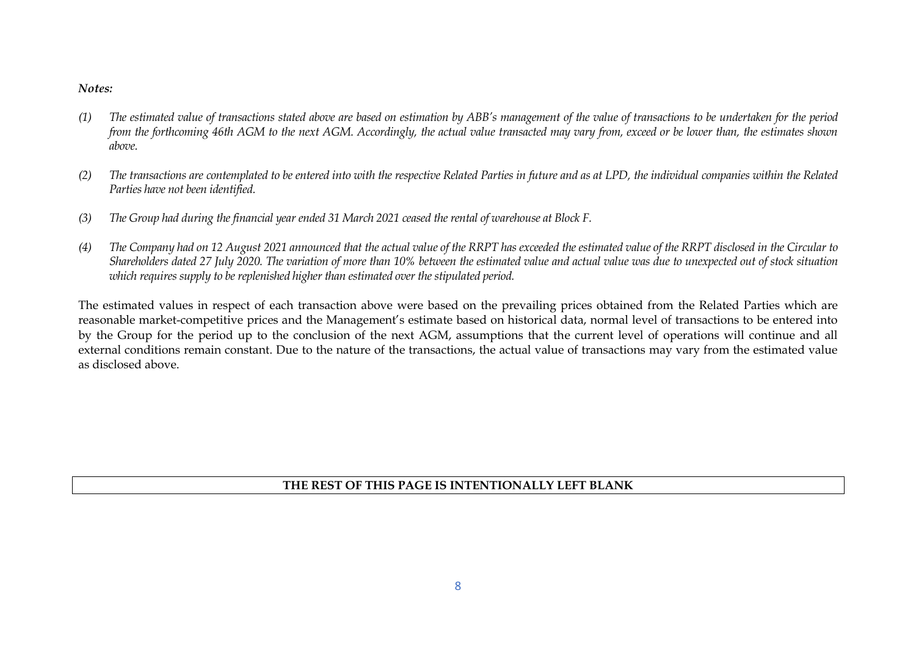#### *Notes:*

- *(1) The estimated value of transactions stated above are based on estimation by ABB's management of the value of transactions to be undertaken for the period from the forthcoming 46th AGM to the next AGM. Accordingly, the actual value transacted may vary from, exceed or be lower than, the estimates shown above.*
- *(2) The transactions are contemplated to be entered into with the respective Related Parties in future and as at LPD, the individual companies within the Related Parties have not been identified.*
- *(3) The Group had during the financial year ended 31 March 2021 ceased the rental of warehouse at Block F.*
- *(4) The Company had on 12 August 2021 announced that the actual value of the RRPT has exceeded the estimated value of the RRPT disclosed in the Circular to Shareholders dated 27 July 2020. The variation of more than 10% between the estimated value and actual value was due to unexpected out of stock situation which requires supply to be replenished higher than estimated over the stipulated period.*

The estimated values in respect of each transaction above were based on the prevailing prices obtained from the Related Parties which are reasonable market-competitive prices and the Management's estimate based on historical data, normal level of transactions to be entered into by the Group for the period up to the conclusion of the next AGM, assumptions that the current level of operations will continue and all external conditions remain constant. Due to the nature of the transactions, the actual value of transactions may vary from the estimated value as disclosed above.

### **THE REST OF THIS PAGE IS INTENTIONALLY LEFT BLANK**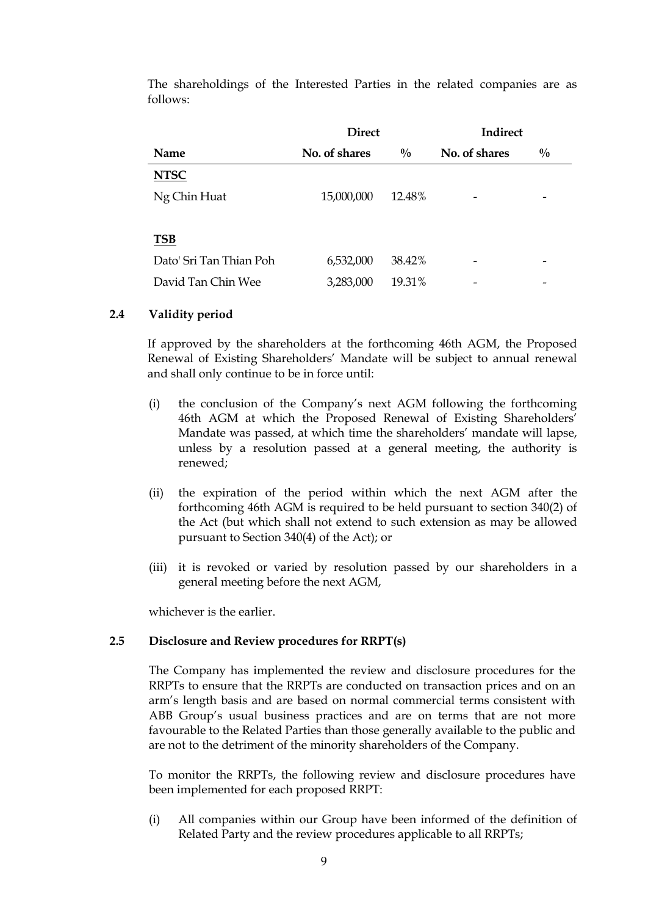The shareholdings of the Interested Parties in the related companies are as follows:

|                         | <b>Direct</b> |               | <b>Indirect</b> |               |
|-------------------------|---------------|---------------|-----------------|---------------|
| Name                    | No. of shares | $\frac{0}{0}$ | No. of shares   | $\frac{0}{0}$ |
| <b>NTSC</b>             |               |               |                 |               |
| Ng Chin Huat            | 15,000,000    | 12.48%        |                 |               |
|                         |               |               |                 |               |
| <b>TSB</b>              |               |               |                 |               |
| Dato' Sri Tan Thian Poh | 6,532,000     | 38.42%        |                 |               |
| David Tan Chin Wee      | 3,283,000     | 19.31%        | -               |               |

### **2.4 Validity period**

If approved by the shareholders at the forthcoming 46th AGM, the Proposed Renewal of Existing Shareholders' Mandate will be subject to annual renewal and shall only continue to be in force until:

- (i) the conclusion of the Company's next AGM following the forthcoming 46th AGM at which the Proposed Renewal of Existing Shareholders' Mandate was passed, at which time the shareholders' mandate will lapse, unless by a resolution passed at a general meeting, the authority is renewed;
- (ii) the expiration of the period within which the next AGM after the forthcoming 46th AGM is required to be held pursuant to section 340(2) of the Act (but which shall not extend to such extension as may be allowed pursuant to Section 340(4) of the Act); or
- (iii) it is revoked or varied by resolution passed by our shareholders in a general meeting before the next AGM,

whichever is the earlier.

#### **2.5 Disclosure and Review procedures for RRPT(s)**

The Company has implemented the review and disclosure procedures for the RRPTs to ensure that the RRPTs are conducted on transaction prices and on an arm's length basis and are based on normal commercial terms consistent with ABB Group's usual business practices and are on terms that are not more favourable to the Related Parties than those generally available to the public and are not to the detriment of the minority shareholders of the Company.

To monitor the RRPTs, the following review and disclosure procedures have been implemented for each proposed RRPT:

(i) All companies within our Group have been informed of the definition of Related Party and the review procedures applicable to all RRPTs;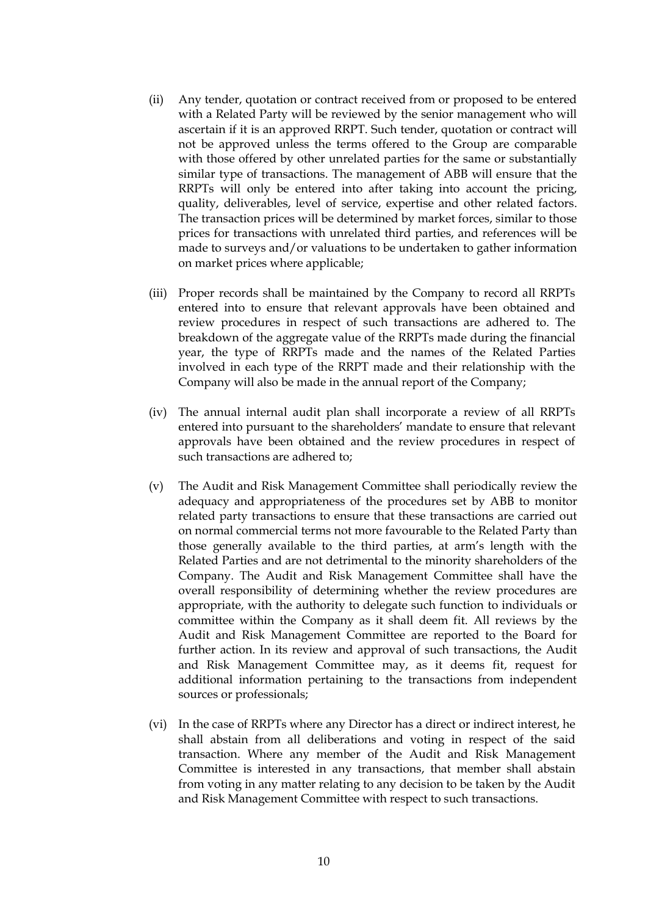- (ii) Any tender, quotation or contract received from or proposed to be entered with a Related Party will be reviewed by the senior management who will ascertain if it is an approved RRPT. Such tender, quotation or contract will not be approved unless the terms offered to the Group are comparable with those offered by other unrelated parties for the same or substantially similar type of transactions. The management of ABB will ensure that the RRPTs will only be entered into after taking into account the pricing, quality, deliverables, level of service, expertise and other related factors. The transaction prices will be determined by market forces, similar to those prices for transactions with unrelated third parties, and references will be made to surveys and/or valuations to be undertaken to gather information on market prices where applicable;
- (iii) Proper records shall be maintained by the Company to record all RRPTs entered into to ensure that relevant approvals have been obtained and review procedures in respect of such transactions are adhered to. The breakdown of the aggregate value of the RRPTs made during the financial year, the type of RRPTs made and the names of the Related Parties involved in each type of the RRPT made and their relationship with the Company will also be made in the annual report of the Company;
- (iv) The annual internal audit plan shall incorporate a review of all RRPTs entered into pursuant to the shareholders' mandate to ensure that relevant approvals have been obtained and the review procedures in respect of such transactions are adhered to;
- (v) The Audit and Risk Management Committee shall periodically review the adequacy and appropriateness of the procedures set by ABB to monitor related party transactions to ensure that these transactions are carried out on normal commercial terms not more favourable to the Related Party than those generally available to the third parties, at arm's length with the Related Parties and are not detrimental to the minority shareholders of the Company. The Audit and Risk Management Committee shall have the overall responsibility of determining whether the review procedures are appropriate, with the authority to delegate such function to individuals or committee within the Company as it shall deem fit. All reviews by the Audit and Risk Management Committee are reported to the Board for further action. In its review and approval of such transactions, the Audit and Risk Management Committee may, as it deems fit, request for additional information pertaining to the transactions from independent sources or professionals;
- (vi) In the case of RRPTs where any Director has a direct or indirect interest, he shall abstain from all deliberations and voting in respect of the said transaction. Where any member of the Audit and Risk Management Committee is interested in any transactions, that member shall abstain from voting in any matter relating to any decision to be taken by the Audit and Risk Management Committee with respect to such transactions.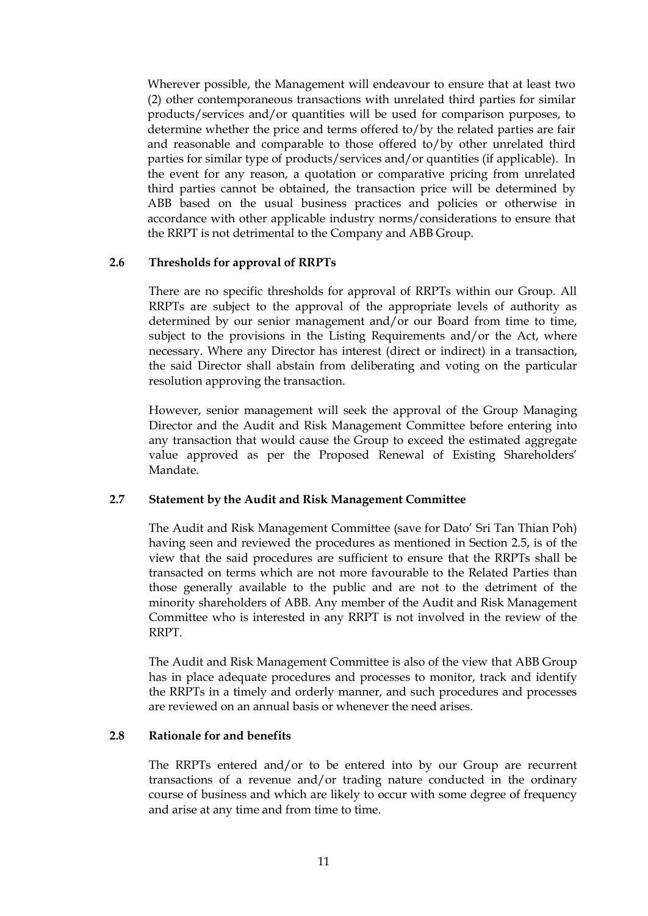Wherever possible, the Management will endeavour to ensure that at least two (2) other contemporaneous transactions with unrelated third parties for similar products/services and/or quantities will be used for comparison purposes, to determine whether the price and terms offered to/by the related parties are fair and reasonable and comparable to those offered to/by other unrelated third parties for similar type of products/services and/or quantities (if applicable). In the event for any reason, a quotation or comparative pricing from unrelated third parties cannot be obtained, the transaction price will be determined by ABB based on the usual business practices and policies or otherwise in accordance with other applicable industry norms/considerations to ensure that the RRPT is not detrimental to the Company and ABB Group.

#### **2.6 Thresholds for approval of RRPTs**

There are no specific thresholds for approval of RRPTs within our Group. All RRPTs are subject to the approval of the appropriate levels of authority as determined by our senior management and/or our Board from time to time, subject to the provisions in the Listing Requirements and/or the Act, where necessary. Where any Director has interest (direct or indirect) in a transaction, the said Director shall abstain from deliberating and voting on the particular resolution approving the transaction.

However, senior management will seek the approval of the Group Managing Director and the Audit and Risk Management Committee before entering into any transaction that would cause the Group to exceed the estimated aggregate value approved as per the Proposed Renewal of Existing Shareholders' Mandate.

#### **2.7 Statement by the Audit and Risk Management Committee**

The Audit and Risk Management Committee (save for Dato' Sri Tan Thian Poh) having seen and reviewed the procedures as mentioned in Section 2.5, is of the view that the said procedures are sufficient to ensure that the RRPTs shall be transacted on terms which are not more favourable to the Related Parties than those generally available to the public and are not to the detriment of the minority shareholders of ABB. Any member of the Audit and Risk Management Committee who is interested in any RRPT is not involved in the review of the RRPT.

The Audit and Risk Management Committee is also of the view that ABB Group has in place adequate procedures and processes to monitor, track and identify the RRPTs in a timely and orderly manner, and such procedures and processes are reviewed on an annual basis or whenever the need arises.

#### **2.8 Rationale for and benefits**

The RRPTs entered and/or to be entered into by our Group are recurrent transactions of a revenue and/or trading nature conducted in the ordinary course of business and which are likely to occur with some degree of frequency and arise at any time and from time to time.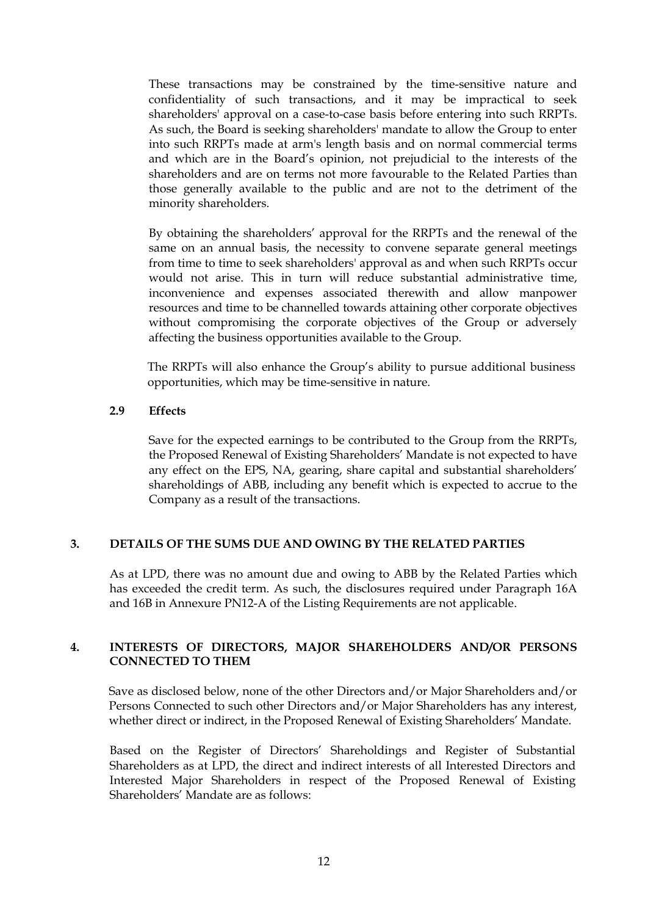These transactions may be constrained by the time-sensitive nature and confidentiality of such transactions, and it may be impractical to seek shareholders' approval on a case-to-case basis before entering into such RRPTs. As such, the Board is seeking shareholders' mandate to allow the Group to enter into such RRPTs made at arm's length basis and on normal commercial terms and which are in the Board's opinion, not prejudicial to the interests of the shareholders and are on terms not more favourable to the Related Parties than those generally available to the public and are not to the detriment of the minority shareholders.

By obtaining the shareholders' approval for the RRPTs and the renewal of the same on an annual basis, the necessity to convene separate general meetings from time to time to seek shareholders' approval as and when such RRPTs occur would not arise. This in turn will reduce substantial administrative time, inconvenience and expenses associated therewith and allow manpower resources and time to be channelled towards attaining other corporate objectives without compromising the corporate objectives of the Group or adversely affecting the business opportunities available to the Group.

The RRPTs will also enhance the Group's ability to pursue additional business opportunities, which may be time-sensitive in nature.

#### **2.9 Effects**

Save for the expected earnings to be contributed to the Group from the RRPTs, the Proposed Renewal of Existing Shareholders' Mandate is not expected to have any effect on the EPS, NA, gearing, share capital and substantial shareholders' shareholdings of ABB, including any benefit which is expected to accrue to the Company as a result of the transactions.

#### **3. DETAILS OF THE SUMS DUE AND OWING BY THE RELATED PARTIES**

As at LPD, there was no amount due and owing to ABB by the Related Parties which has exceeded the credit term. As such, the disclosures required under Paragraph 16A and 16B in Annexure PN12-A of the Listing Requirements are not applicable.

#### **4. INTERESTS OF DIRECTORS, MAJOR SHAREHOLDERS AND/OR PERSONS CONNECTED TO THEM**

Save as disclosed below, none of the other Directors and/or Major Shareholders and/or Persons Connected to such other Directors and/or Major Shareholders has any interest, whether direct or indirect, in the Proposed Renewal of Existing Shareholders' Mandate.

Based on the Register of Directors' Shareholdings and Register of Substantial Shareholders as at LPD, the direct and indirect interests of all Interested Directors and Interested Major Shareholders in respect of the Proposed Renewal of Existing Shareholders' Mandate are as follows: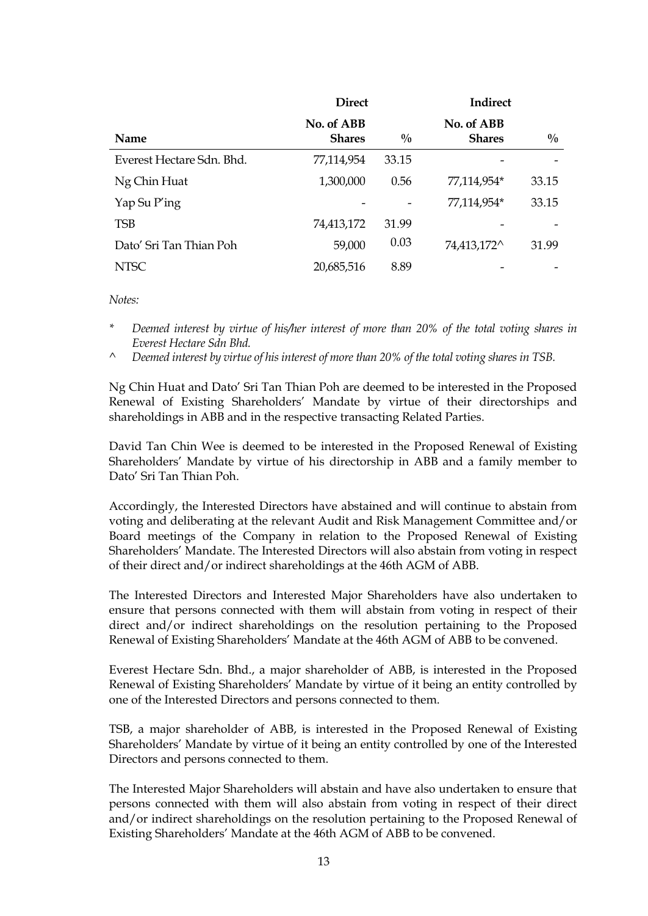|                           | <b>Direct</b>               |               | <b>Indirect</b>             |               |
|---------------------------|-----------------------------|---------------|-----------------------------|---------------|
| <b>Name</b>               | No. of ABB<br><b>Shares</b> | $\frac{0}{0}$ | No. of ABB<br><b>Shares</b> | $\frac{0}{0}$ |
| Everest Hectare Sdn. Bhd. | 77,114,954                  | 33.15         |                             |               |
| Ng Chin Huat              | 1,300,000                   | 0.56          | 77,114,954*                 | 33.15         |
| Yap Su P'ing              |                             |               | 77,114,954*                 | 33.15         |
| <b>TSB</b>                | 74,413,172                  | 31.99         |                             |               |
| Dato' Sri Tan Thian Poh   | 59,000                      | 0.03          | 74,413,172^                 | 31.99         |
| <b>NTSC</b>               | 20,685,516                  | 8.89          |                             |               |

*Notes:*

- *\* Deemed interest by virtue of his/her interest of more than 20% of the total voting shares in Everest Hectare Sdn Bhd.*
- *^ Deemed interest by virtue of his interest of more than 20% of the total voting shares in TSB.*

Ng Chin Huat and Dato' Sri Tan Thian Poh are deemed to be interested in the Proposed Renewal of Existing Shareholders' Mandate by virtue of their directorships and shareholdings in ABB and in the respective transacting Related Parties.

David Tan Chin Wee is deemed to be interested in the Proposed Renewal of Existing Shareholders' Mandate by virtue of his directorship in ABB and a family member to Dato' Sri Tan Thian Poh.

Accordingly, the Interested Directors have abstained and will continue to abstain from voting and deliberating at the relevant Audit and Risk Management Committee and/or Board meetings of the Company in relation to the Proposed Renewal of Existing Shareholders' Mandate. The Interested Directors will also abstain from voting in respect of their direct and/or indirect shareholdings at the 46th AGM of ABB.

The Interested Directors and Interested Major Shareholders have also undertaken to ensure that persons connected with them will abstain from voting in respect of their direct and/or indirect shareholdings on the resolution pertaining to the Proposed Renewal of Existing Shareholders' Mandate at the 46th AGM of ABB to be convened.

Everest Hectare Sdn. Bhd., a major shareholder of ABB, is interested in the Proposed Renewal of Existing Shareholders' Mandate by virtue of it being an entity controlled by one of the Interested Directors and persons connected to them.

TSB, a major shareholder of ABB, is interested in the Proposed Renewal of Existing Shareholders' Mandate by virtue of it being an entity controlled by one of the Interested Directors and persons connected to them.

The Interested Major Shareholders will abstain and have also undertaken to ensure that persons connected with them will also abstain from voting in respect of their direct and/or indirect shareholdings on the resolution pertaining to the Proposed Renewal of Existing Shareholders' Mandate at the 46th AGM of ABB to be convened.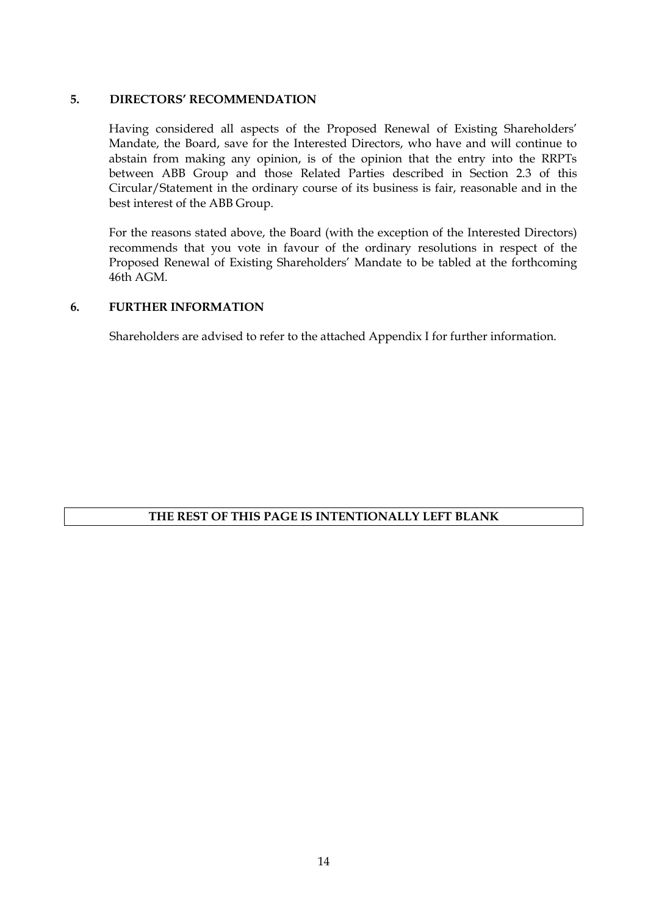#### **5. DIRECTORS' RECOMMENDATION**

Having considered all aspects of the Proposed Renewal of Existing Shareholders' Mandate, the Board, save for the Interested Directors, who have and will continue to abstain from making any opinion, is of the opinion that the entry into the RRPTs between ABB Group and those Related Parties described in Section 2.3 of this Circular/Statement in the ordinary course of its business is fair, reasonable and in the best interest of the ABB Group.

For the reasons stated above, the Board (with the exception of the Interested Directors) recommends that you vote in favour of the ordinary resolutions in respect of the Proposed Renewal of Existing Shareholders' Mandate to be tabled at the forthcoming 46th AGM.

#### **6. FURTHER INFORMATION**

Shareholders are advised to refer to the attached Appendix I for further information.

### **THE REST OF THIS PAGE IS INTENTIONALLY LEFT BLANK**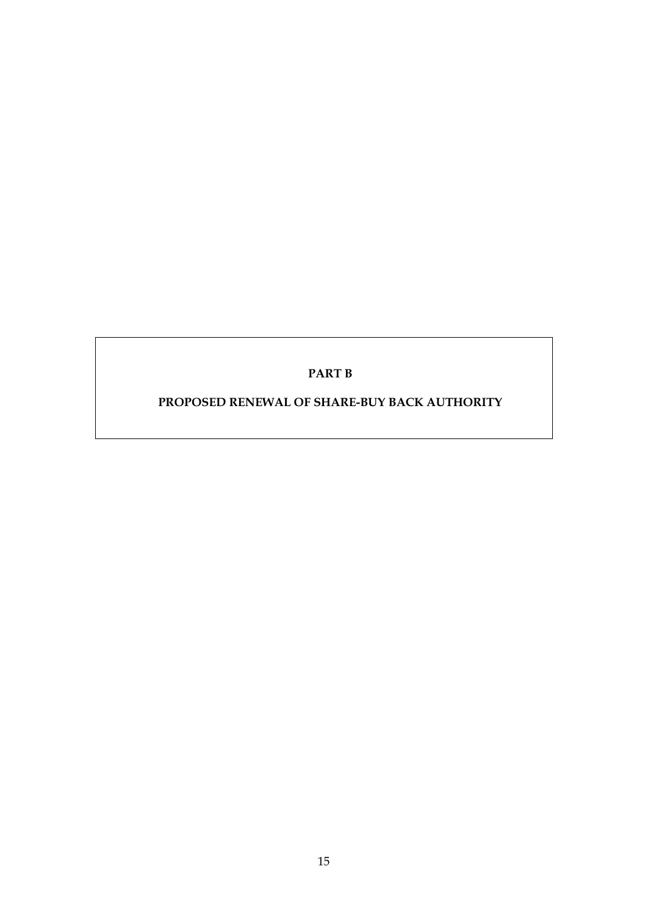### **PART B**

# **PROPOSED RENEWAL OF SHARE-BUY BACK AUTHORITY**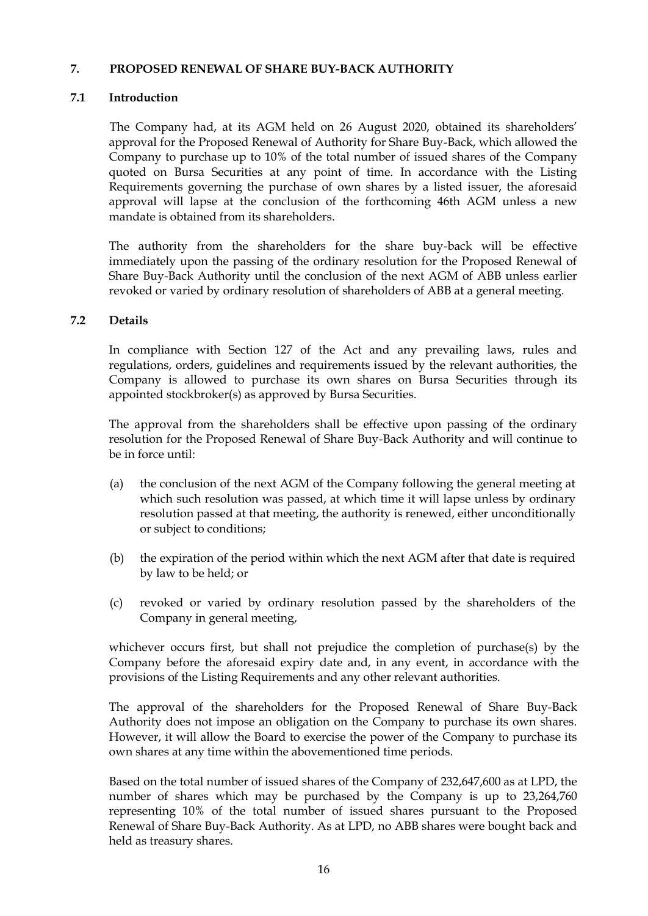#### **7. PROPOSED RENEWAL OF SHARE BUY-BACK AUTHORITY**

### **7.1 Introduction**

The Company had, at its AGM held on 26 August 2020, obtained its shareholders' approval for the Proposed Renewal of Authority for Share Buy-Back, which allowed the Company to purchase up to 10% of the total number of issued shares of the Company quoted on Bursa Securities at any point of time. In accordance with the Listing Requirements governing the purchase of own shares by a listed issuer, the aforesaid approval will lapse at the conclusion of the forthcoming 46th AGM unless a new mandate is obtained from its shareholders.

The authority from the shareholders for the share buy-back will be effective immediately upon the passing of the ordinary resolution for the Proposed Renewal of Share Buy-Back Authority until the conclusion of the next AGM of ABB unless earlier revoked or varied by ordinary resolution of shareholders of ABB at a general meeting.

#### **7.2 Details**

In compliance with Section 127 of the Act and any prevailing laws, rules and regulations, orders, guidelines and requirements issued by the relevant authorities, the Company is allowed to purchase its own shares on Bursa Securities through its appointed stockbroker(s) as approved by Bursa Securities.

The approval from the shareholders shall be effective upon passing of the ordinary resolution for the Proposed Renewal of Share Buy-Back Authority and will continue to be in force until:

- (a) the conclusion of the next AGM of the Company following the general meeting at which such resolution was passed, at which time it will lapse unless by ordinary resolution passed at that meeting, the authority is renewed, either unconditionally or subject to conditions;
- (b) the expiration of the period within which the next AGM after that date is required by law to be held; or
- (c) revoked or varied by ordinary resolution passed by the shareholders of the Company in general meeting,

whichever occurs first, but shall not prejudice the completion of purchase(s) by the Company before the aforesaid expiry date and, in any event, in accordance with the provisions of the Listing Requirements and any other relevant authorities.

The approval of the shareholders for the Proposed Renewal of Share Buy-Back Authority does not impose an obligation on the Company to purchase its own shares. However, it will allow the Board to exercise the power of the Company to purchase its own shares at any time within the abovementioned time periods.

Based on the total number of issued shares of the Company of 232,647,600 as at LPD, the number of shares which may be purchased by the Company is up to 23,264,760 representing 10% of the total number of issued shares pursuant to the Proposed Renewal of Share Buy-Back Authority. As at LPD, no ABB shares were bought back and held as treasury shares.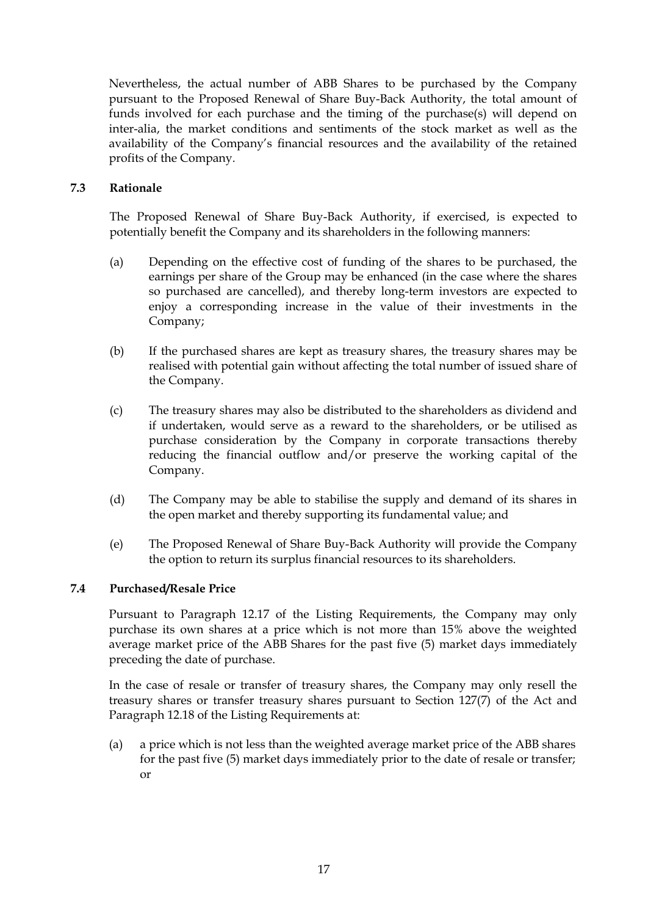Nevertheless, the actual number of ABB Shares to be purchased by the Company pursuant to the Proposed Renewal of Share Buy-Back Authority, the total amount of funds involved for each purchase and the timing of the purchase(s) will depend on inter-alia, the market conditions and sentiments of the stock market as well as the availability of the Company's financial resources and the availability of the retained profits of the Company.

### **7.3 Rationale**

The Proposed Renewal of Share Buy-Back Authority, if exercised, is expected to potentially benefit the Company and its shareholders in the following manners:

- (a) Depending on the effective cost of funding of the shares to be purchased, the earnings per share of the Group may be enhanced (in the case where the shares so purchased are cancelled), and thereby long-term investors are expected to enjoy a corresponding increase in the value of their investments in the Company;
- (b) If the purchased shares are kept as treasury shares, the treasury shares may be realised with potential gain without affecting the total number of issued share of the Company.
- (c) The treasury shares may also be distributed to the shareholders as dividend and if undertaken, would serve as a reward to the shareholders, or be utilised as purchase consideration by the Company in corporate transactions thereby reducing the financial outflow and/or preserve the working capital of the Company.
- (d) The Company may be able to stabilise the supply and demand of its shares in the open market and thereby supporting its fundamental value; and
- (e) The Proposed Renewal of Share Buy-Back Authority will provide the Company the option to return its surplus financial resources to its shareholders.

#### **7.4 Purchased/Resale Price**

Pursuant to Paragraph 12.17 of the Listing Requirements, the Company may only purchase its own shares at a price which is not more than 15% above the weighted average market price of the ABB Shares for the past five (5) market days immediately preceding the date of purchase.

In the case of resale or transfer of treasury shares, the Company may only resell the treasury shares or transfer treasury shares pursuant to Section 127(7) of the Act and Paragraph 12.18 of the Listing Requirements at:

(a) a price which is not less than the weighted average market price of the ABB shares for the past five (5) market days immediately prior to the date of resale or transfer; or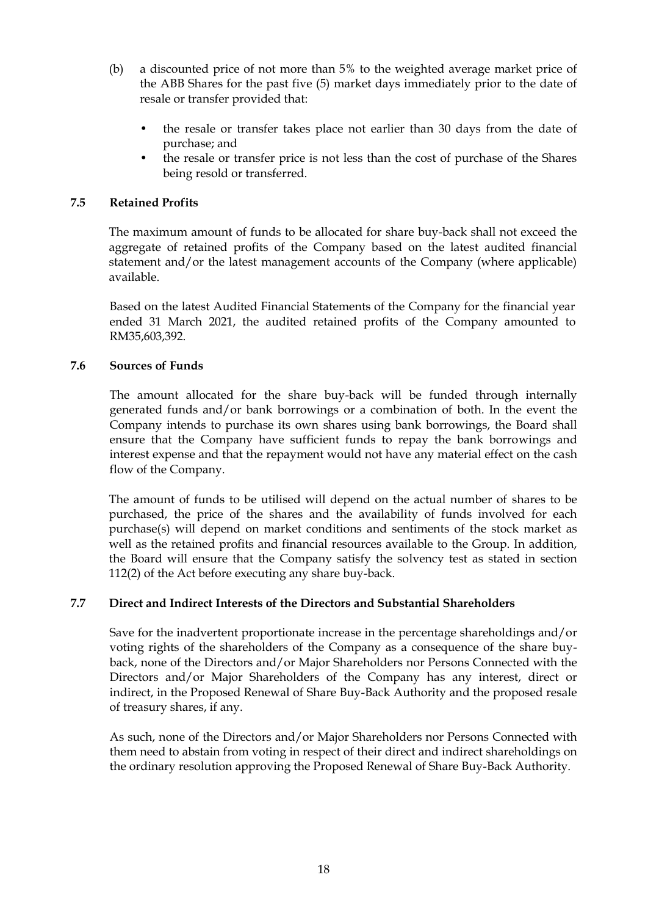- (b) a discounted price of not more than 5% to the weighted average market price of the ABB Shares for the past five (5) market days immediately prior to the date of resale or transfer provided that:
	- the resale or transfer takes place not earlier than 30 days from the date of purchase; and
	- the resale or transfer price is not less than the cost of purchase of the Shares being resold or transferred.

### **7.5 Retained Profits**

The maximum amount of funds to be allocated for share buy-back shall not exceed the aggregate of retained profits of the Company based on the latest audited financial statement and/or the latest management accounts of the Company (where applicable) available.

Based on the latest Audited Financial Statements of the Company for the financial year ended 31 March 2021, the audited retained profits of the Company amounted to RM35,603,392.

#### **7.6 Sources of Funds**

The amount allocated for the share buy-back will be funded through internally generated funds and/or bank borrowings or a combination of both. In the event the Company intends to purchase its own shares using bank borrowings, the Board shall ensure that the Company have sufficient funds to repay the bank borrowings and interest expense and that the repayment would not have any material effect on the cash flow of the Company.

The amount of funds to be utilised will depend on the actual number of shares to be purchased, the price of the shares and the availability of funds involved for each purchase(s) will depend on market conditions and sentiments of the stock market as well as the retained profits and financial resources available to the Group. In addition, the Board will ensure that the Company satisfy the solvency test as stated in section 112(2) of the Act before executing any share buy-back.

#### **7.7 Direct and Indirect Interests of the Directors and Substantial Shareholders**

Save for the inadvertent proportionate increase in the percentage shareholdings and/or voting rights of the shareholders of the Company as a consequence of the share buyback, none of the Directors and/or Major Shareholders nor Persons Connected with the Directors and/or Major Shareholders of the Company has any interest, direct or indirect, in the Proposed Renewal of Share Buy-Back Authority and the proposed resale of treasury shares, if any.

As such, none of the Directors and/or Major Shareholders nor Persons Connected with them need to abstain from voting in respect of their direct and indirect shareholdings on the ordinary resolution approving the Proposed Renewal of Share Buy-Back Authority.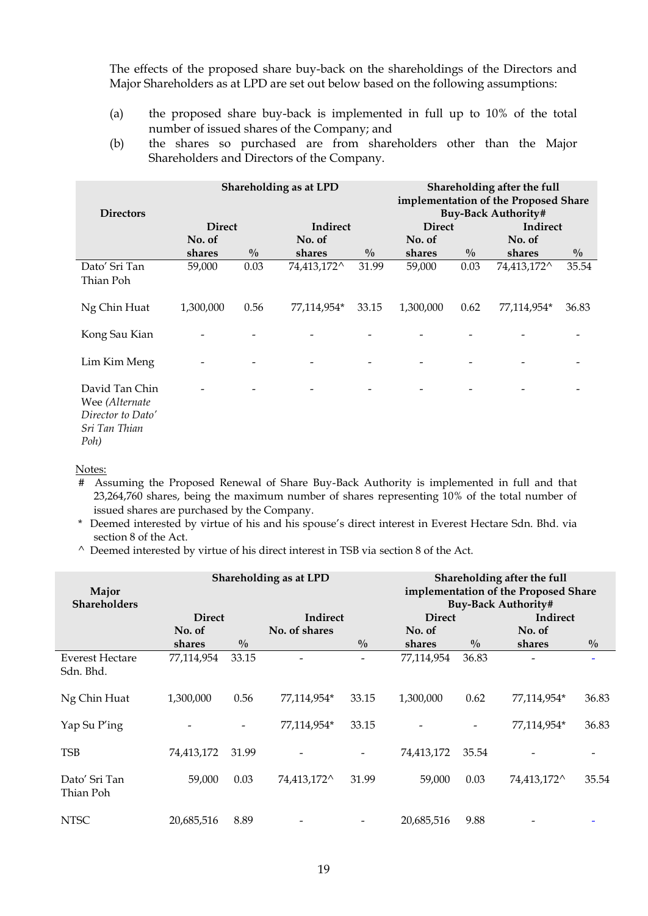The effects of the proposed share buy-back on the shareholdings of the Directors and Major Shareholders as at LPD are set out below based on the following assumptions:

- (a) the proposed share buy-back is implemented in full up to 10% of the total number of issued shares of the Company; and
- (b) the shares so purchased are from shareholders other than the Major Shareholders and Directors of the Company.

| <b>Directors</b>                                                               | Shareholding as at LPD |               |             |               | Shareholding after the full<br>implementation of the Proposed Share<br><b>Buy-Back Authority#</b> |               |             |               |
|--------------------------------------------------------------------------------|------------------------|---------------|-------------|---------------|---------------------------------------------------------------------------------------------------|---------------|-------------|---------------|
|                                                                                | <b>Direct</b>          |               | Indirect    |               | <b>Direct</b>                                                                                     |               | Indirect    |               |
|                                                                                | No. of                 |               | No. of      |               | No. of                                                                                            |               | No. of      |               |
|                                                                                | shares                 | $\frac{0}{0}$ | shares      | $\frac{0}{0}$ | shares                                                                                            | $\frac{0}{0}$ | shares      | $\frac{0}{0}$ |
| Dato' Sri Tan<br>Thian Poh                                                     | 59,000                 | 0.03          | 74,413,172^ | 31.99         | 59,000                                                                                            | 0.03          | 74,413,172^ | 35.54         |
| Ng Chin Huat                                                                   | 1,300,000              | 0.56          | 77,114,954* | 33.15         | 1,300,000                                                                                         | 0.62          | 77,114,954* | 36.83         |
| Kong Sau Kian                                                                  |                        |               |             |               |                                                                                                   |               |             |               |
| Lim Kim Meng                                                                   |                        |               |             |               |                                                                                                   |               |             |               |
| David Tan Chin<br>Wee (Alternate<br>Director to Dato'<br>Sri Tan Thian<br>Poh) |                        |               |             |               |                                                                                                   |               |             |               |

Notes:

- # Assuming the Proposed Renewal of Share Buy-Back Authority is implemented in full and that 23,264,760 shares, being the maximum number of shares representing 10% of the total number of issued shares are purchased by the Company.
- \* Deemed interested by virtue of his and his spouse's direct interest in Everest Hectare Sdn. Bhd. via section 8 of the Act.
- $\wedge$  Deemed interested by virtue of his direct interest in TSB via section 8 of the Act.

| Major<br><b>Shareholders</b>        | <b>Shareholding as at LPD</b> |               |               | Shareholding after the full<br>implementation of the Proposed Share<br><b>Buy-Back Authority#</b> |               |                              |             |               |
|-------------------------------------|-------------------------------|---------------|---------------|---------------------------------------------------------------------------------------------------|---------------|------------------------------|-------------|---------------|
|                                     | <b>Direct</b>                 |               | Indirect      |                                                                                                   | <b>Direct</b> |                              | Indirect    |               |
|                                     | No. of                        |               | No. of shares |                                                                                                   | No. of        |                              | No. of      |               |
|                                     | shares                        | $\frac{0}{0}$ |               | $\frac{0}{0}$                                                                                     | shares        | $\frac{0}{0}$                | shares      | $\frac{0}{0}$ |
| <b>Everest Hectare</b><br>Sdn. Bhd. | 77,114,954                    | 33.15         |               |                                                                                                   | 77,114,954    | 36.83                        |             |               |
| Ng Chin Huat                        | 1,300,000                     | 0.56          | 77,114,954*   | 33.15                                                                                             | 1,300,000     | 0.62                         | 77,114,954* | 36.83         |
| Yap Su P'ing                        |                               |               | 77,114,954*   | 33.15                                                                                             |               | $\qquad \qquad \blacksquare$ | 77,114,954* | 36.83         |
| <b>TSB</b>                          | 74,413,172                    | 31.99         |               |                                                                                                   | 74,413,172    | 35.54                        |             |               |
| Dato' Sri Tan<br>Thian Poh          | 59,000                        | 0.03          | 74,413,172^   | 31.99                                                                                             | 59,000        | 0.03                         | 74,413,172^ | 35.54         |
| <b>NTSC</b>                         | 20,685,516                    | 8.89          |               |                                                                                                   | 20,685,516    | 9.88                         |             |               |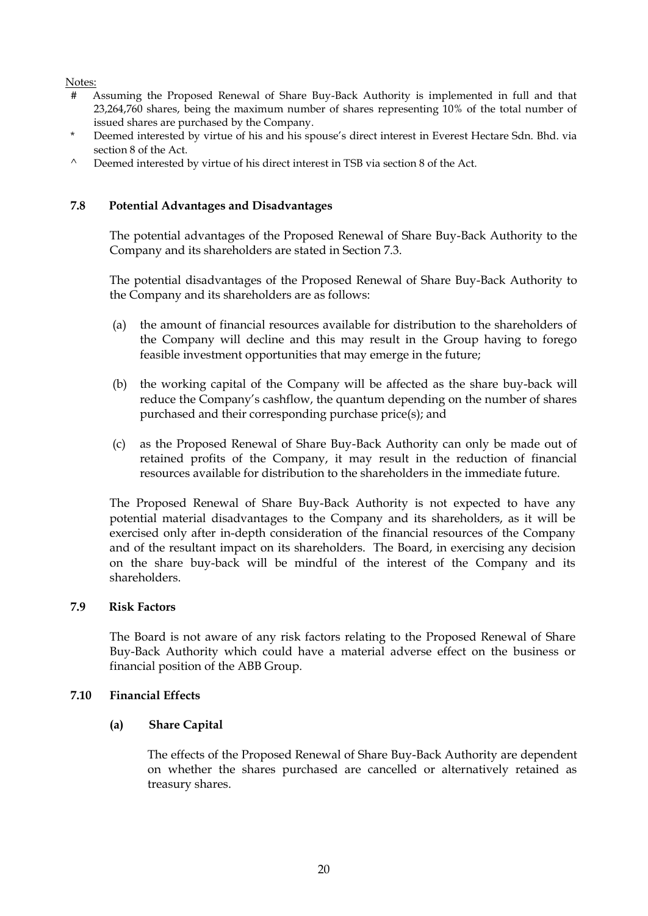#### Notes:

- # Assuming the Proposed Renewal of Share Buy-Back Authority is implemented in full and that 23,264,760 shares, being the maximum number of shares representing 10% of the total number of issued shares are purchased by the Company.
- Deemed interested by virtue of his and his spouse's direct interest in Everest Hectare Sdn. Bhd. via section 8 of the Act.
- $\wedge$  Deemed interested by virtue of his direct interest in TSB via section 8 of the Act.

#### **7.8 Potential Advantages and Disadvantages**

The potential advantages of the Proposed Renewal of Share Buy-Back Authority to the Company and its shareholders are stated in Section 7.3.

The potential disadvantages of the Proposed Renewal of Share Buy-Back Authority to the Company and its shareholders are as follows:

- (a) the amount of financial resources available for distribution to the shareholders of the Company will decline and this may result in the Group having to forego feasible investment opportunities that may emerge in the future;
- (b) the working capital of the Company will be affected as the share buy-back will reduce the Company's cashflow, the quantum depending on the number of shares purchased and their corresponding purchase price(s); and
- (c) as the Proposed Renewal of Share Buy-Back Authority can only be made out of retained profits of the Company, it may result in the reduction of financial resources available for distribution to the shareholders in the immediate future.

The Proposed Renewal of Share Buy-Back Authority is not expected to have any potential material disadvantages to the Company and its shareholders, as it will be exercised only after in-depth consideration of the financial resources of the Company and of the resultant impact on its shareholders. The Board, in exercising any decision on the share buy-back will be mindful of the interest of the Company and its shareholders.

#### **7.9 Risk Factors**

The Board is not aware of any risk factors relating to the Proposed Renewal of Share Buy-Back Authority which could have a material adverse effect on the business or financial position of the ABB Group.

#### **7.10 Financial Effects**

#### **(a) Share Capital**

The effects of the Proposed Renewal of Share Buy-Back Authority are dependent on whether the shares purchased are cancelled or alternatively retained as treasury shares.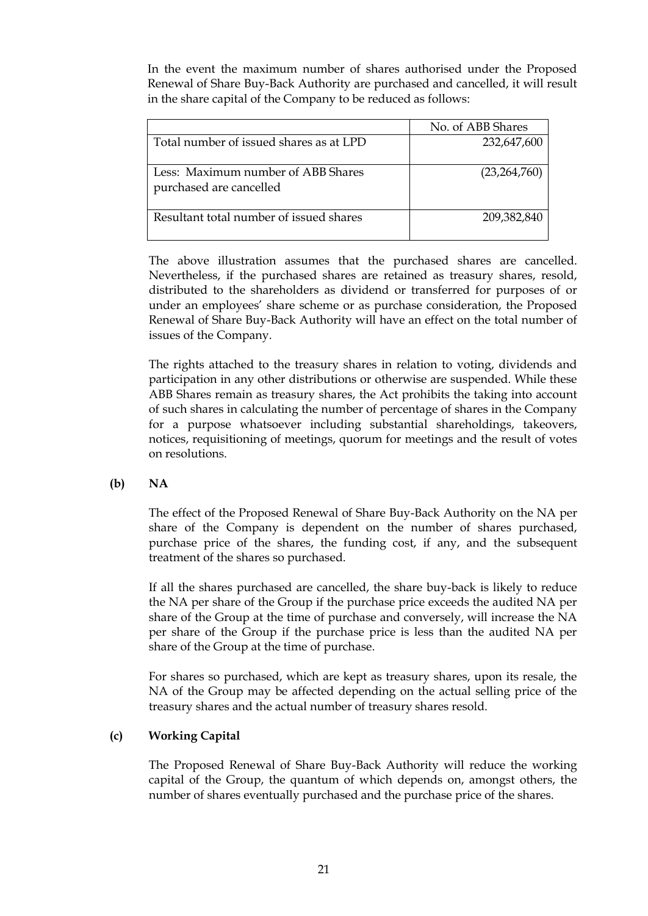In the event the maximum number of shares authorised under the Proposed Renewal of Share Buy-Back Authority are purchased and cancelled, it will result in the share capital of the Company to be reduced as follows:

|                                                               | No. of ABB Shares |
|---------------------------------------------------------------|-------------------|
| Total number of issued shares as at LPD                       | 232,647,600       |
| Less: Maximum number of ABB Shares<br>purchased are cancelled | (23, 264, 760)    |
| Resultant total number of issued shares                       | 209,382,840       |

The above illustration assumes that the purchased shares are cancelled. Nevertheless, if the purchased shares are retained as treasury shares, resold, distributed to the shareholders as dividend or transferred for purposes of or under an employees' share scheme or as purchase consideration, the Proposed Renewal of Share Buy-Back Authority will have an effect on the total number of issues of the Company.

The rights attached to the treasury shares in relation to voting, dividends and participation in any other distributions or otherwise are suspended. While these ABB Shares remain as treasury shares, the Act prohibits the taking into account of such shares in calculating the number of percentage of shares in the Company for a purpose whatsoever including substantial shareholdings, takeovers, notices, requisitioning of meetings, quorum for meetings and the result of votes on resolutions.

**(b) NA**

The effect of the Proposed Renewal of Share Buy-Back Authority on the NA per share of the Company is dependent on the number of shares purchased, purchase price of the shares, the funding cost, if any, and the subsequent treatment of the shares so purchased.

If all the shares purchased are cancelled, the share buy-back is likely to reduce the NA per share of the Group if the purchase price exceeds the audited NA per share of the Group at the time of purchase and conversely, will increase the NA per share of the Group if the purchase price is less than the audited NA per share of the Group at the time of purchase.

For shares so purchased, which are kept as treasury shares, upon its resale, the NA of the Group may be affected depending on the actual selling price of the treasury shares and the actual number of treasury shares resold.

### **(c) Working Capital**

The Proposed Renewal of Share Buy-Back Authority will reduce the working capital of the Group, the quantum of which depends on, amongst others, the number of shares eventually purchased and the purchase price of the shares.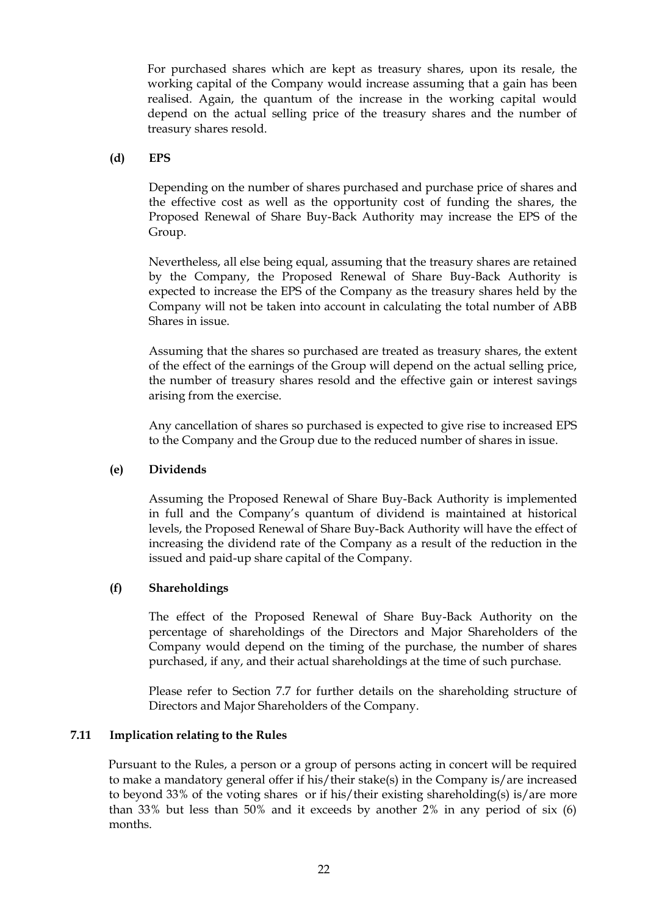For purchased shares which are kept as treasury shares, upon its resale, the working capital of the Company would increase assuming that a gain has been realised. Again, the quantum of the increase in the working capital would depend on the actual selling price of the treasury shares and the number of treasury shares resold.

#### **(d) EPS**

Depending on the number of shares purchased and purchase price of shares and the effective cost as well as the opportunity cost of funding the shares, the Proposed Renewal of Share Buy-Back Authority may increase the EPS of the Group.

Nevertheless, all else being equal, assuming that the treasury shares are retained by the Company, the Proposed Renewal of Share Buy-Back Authority is expected to increase the EPS of the Company as the treasury shares held by the Company will not be taken into account in calculating the total number of ABB Shares in issue.

Assuming that the shares so purchased are treated as treasury shares, the extent of the effect of the earnings of the Group will depend on the actual selling price, the number of treasury shares resold and the effective gain or interest savings arising from the exercise.

Any cancellation of shares so purchased is expected to give rise to increased EPS to the Company and the Group due to the reduced number of shares in issue.

#### **(e) Dividends**

Assuming the Proposed Renewal of Share Buy-Back Authority is implemented in full and the Company's quantum of dividend is maintained at historical levels, the Proposed Renewal of Share Buy-Back Authority will have the effect of increasing the dividend rate of the Company as a result of the reduction in the issued and paid-up share capital of the Company.

#### **(f) Shareholdings**

The effect of the Proposed Renewal of Share Buy-Back Authority on the percentage of shareholdings of the Directors and Major Shareholders of the Company would depend on the timing of the purchase, the number of shares purchased, if any, and their actual shareholdings at the time of such purchase.

Please refer to Section 7.7 for further details on the shareholding structure of Directors and Major Shareholders of the Company.

#### **7.11 Implication relating to the Rules**

Pursuant to the Rules, a person or a group of persons acting in concert will be required to make a mandatory general offer if his/their stake(s) in the Company is/are increased to beyond 33% of the voting shares or if his/their existing shareholding(s) is/are more than 33% but less than 50% and it exceeds by another 2% in any period of six (6) months.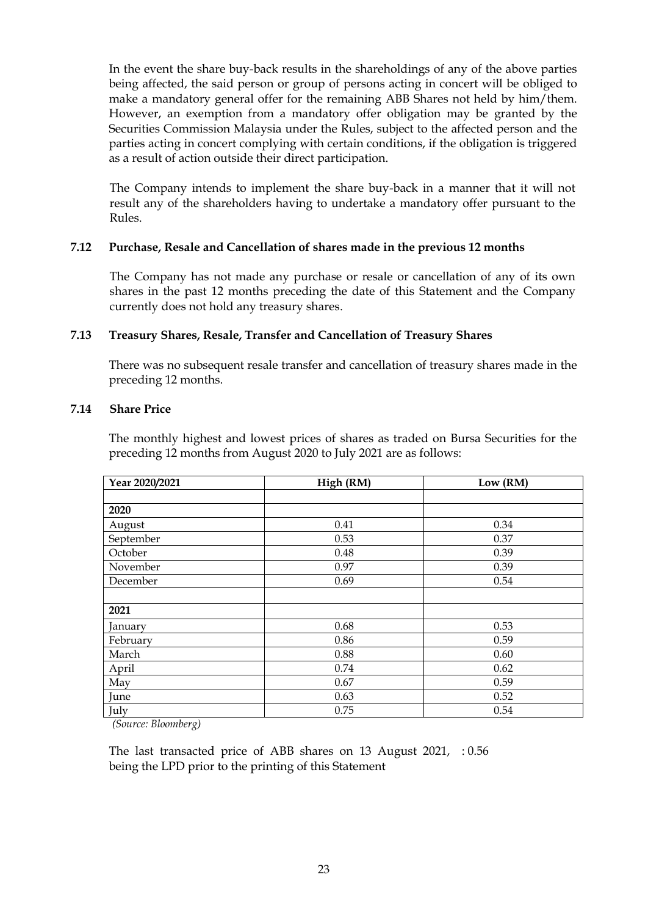In the event the share buy-back results in the shareholdings of any of the above parties being affected, the said person or group of persons acting in concert will be obliged to make a mandatory general offer for the remaining ABB Shares not held by him/them. However, an exemption from a mandatory offer obligation may be granted by the Securities Commission Malaysia under the Rules, subject to the affected person and the parties acting in concert complying with certain conditions, if the obligation is triggered as a result of action outside their direct participation.

The Company intends to implement the share buy-back in a manner that it will not result any of the shareholders having to undertake a mandatory offer pursuant to the Rules.

#### **7.12 Purchase, Resale and Cancellation of shares made in the previous 12 months**

The Company has not made any purchase or resale or cancellation of any of its own shares in the past 12 months preceding the date of this Statement and the Company currently does not hold any treasury shares.

#### **7.13 Treasury Shares, Resale, Transfer and Cancellation of Treasury Shares**

There was no subsequent resale transfer and cancellation of treasury shares made in the preceding 12 months.

#### **7.14 Share Price**

The monthly highest and lowest prices of shares as traded on Bursa Securities for the preceding 12 months from August 2020 to July 2021 are as follows:

| Year 2020/2021 | High (RM) | Low (RM) |
|----------------|-----------|----------|
|                |           |          |
| 2020           |           |          |
| August         | 0.41      | 0.34     |
| September      | 0.53      | 0.37     |
| October        | 0.48      | 0.39     |
| November       | 0.97      | 0.39     |
| December       | 0.69      | 0.54     |
|                |           |          |
| 2021           |           |          |
| January        | 0.68      | 0.53     |
| February       | 0.86      | 0.59     |
| March          | 0.88      | 0.60     |
| April          | 0.74      | 0.62     |
| May            | 0.67      | 0.59     |
| June           | 0.63      | 0.52     |
| July           | 0.75      | 0.54     |

*(Source: Bloomberg)*

The last transacted price of ABB shares on 13 August 2021, : 0.56being the LPD prior to the printing of this Statement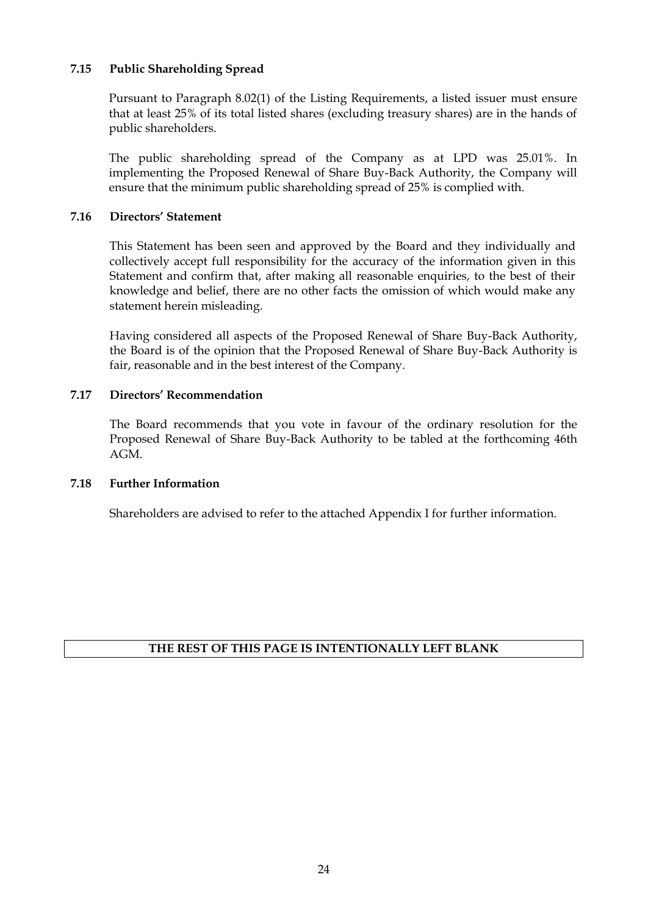#### **7.15 Public Shareholding Spread**

Pursuant to Paragraph 8.02(1) of the Listing Requirements, a listed issuer must ensure that at least 25% of its total listed shares (excluding treasury shares) are in the hands of public shareholders.

The public shareholding spread of the Company as at LPD was 25.01%. In implementing the Proposed Renewal of Share Buy-Back Authority, the Company will ensure that the minimum public shareholding spread of 25% is complied with.

#### **7.16 Directors' Statement**

This Statement has been seen and approved by the Board and they individually and collectively accept full responsibility for the accuracy of the information given in this Statement and confirm that, after making all reasonable enquiries, to the best of their knowledge and belief, there are no other facts the omission of which would make any statement herein misleading.

Having considered all aspects of the Proposed Renewal of Share Buy-Back Authority, the Board is of the opinion that the Proposed Renewal of Share Buy-Back Authority is fair, reasonable and in the best interest of the Company.

#### **7.17 Directors' Recommendation**

The Board recommends that you vote in favour of the ordinary resolution for the Proposed Renewal of Share Buy-Back Authority to be tabled at the forthcoming 46th AGM.

#### **7.18 Further Information**

Shareholders are advised to refer to the attached Appendix I for further information.

### **THE REST OF THIS PAGE IS INTENTIONALLY LEFT BLANK**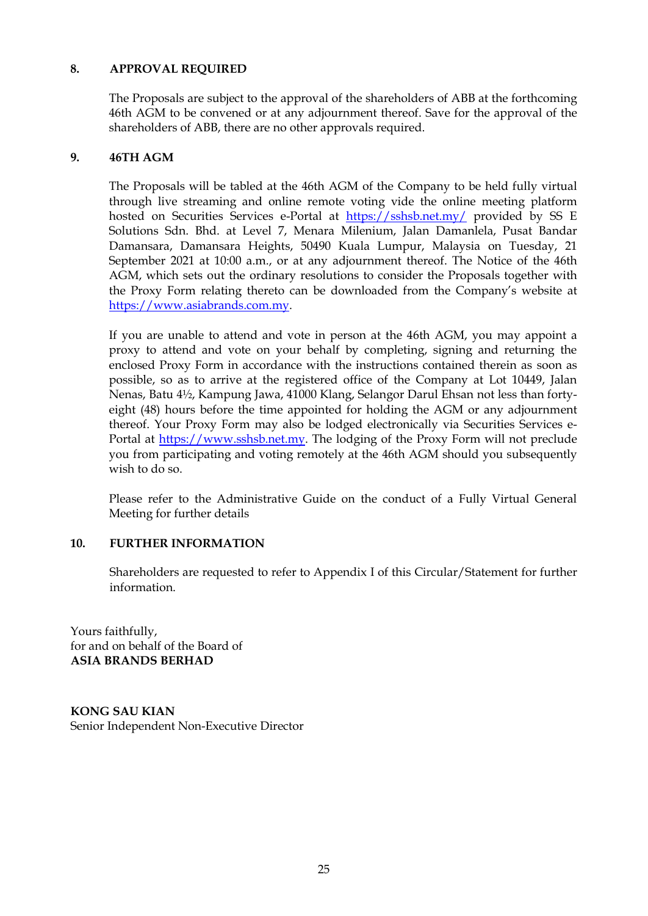### **8. APPROVAL REQUIRED**

The Proposals are subject to the approval of the shareholders of ABB at the forthcoming 46th AGM to be convened or at any adjournment thereof. Save for the approval of the shareholders of ABB, there are no other approvals required.

#### **9. 46TH AGM**

The Proposals will be tabled at the 46th AGM of the Company to be held fully virtual through live streaming and online remote voting vide the online meeting platform hosted on Securities Services e-Portal at <https://sshsb.net.my/> provided by SS E Solutions Sdn. Bhd. at Level 7, Menara Milenium, Jalan Damanlela, Pusat Bandar Damansara, Damansara Heights, 50490 Kuala Lumpur, Malaysia on Tuesday, 21 September 2021 at 10:00 a.m., or at any adjournment thereof. The Notice of the 46th AGM, which sets out the ordinary resolutions to consider the Proposals together with the Proxy Form relating thereto can be downloaded from the Company's website at [https://www.asiabrands.com.my.](https://www.asiabrands.com.my/)

If you are unable to attend and vote in person at the 46th AGM, you may appoint a proxy to attend and vote on your behalf by completing, signing and returning the enclosed Proxy Form in accordance with the instructions contained therein as soon as possible, so as to arrive at the registered office of the Company at Lot 10449, Jalan Nenas, Batu 4½, Kampung Jawa, 41000 Klang, Selangor Darul Ehsan not less than fortyeight (48) hours before the time appointed for holding the AGM or any adjournment thereof. Your Proxy Form may also be lodged electronically via Securities Services e-Portal at [https://www.sshsb.net.my.](https://www.sshsb.net.my/) The lodging of the Proxy Form will not preclude you from participating and voting remotely at the 46th AGM should you subsequently wish to do so.

Please refer to the Administrative Guide on the conduct of a Fully Virtual General Meeting for further details

#### **10. FURTHER INFORMATION**

Shareholders are requested to refer to Appendix I of this Circular/Statement for further information.

Yours faithfully, for and on behalf of the Board of **ASIA BRANDS BERHAD** 

**KONG SAU KIAN** Senior Independent Non-Executive Director